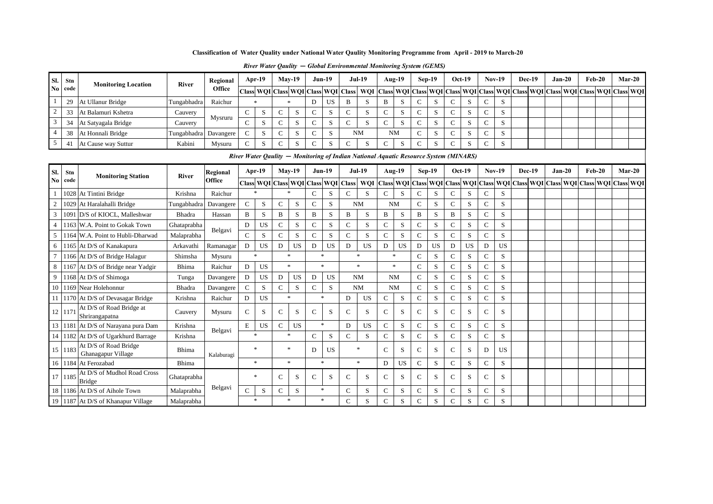| Sl. Stn        |                            |                        | Regional |  | Apr- $19$ |        | $Mav-19$ | $Jun-19$ |     | <b>Jul-19</b>                                                                                                                       |                          | Aug-19    | $Sep-19$ | $Oct-19$ | <b>Nov-19</b> | Dec-19 | $Jan-20$ | Feb-20 | $Mar-20$ |  |
|----------------|----------------------------|------------------------|----------|--|-----------|--------|----------|----------|-----|-------------------------------------------------------------------------------------------------------------------------------------|--------------------------|-----------|----------|----------|---------------|--------|----------|--------|----------|--|
| No code        | <b>Monitoring Location</b> | <b>River</b>           | Office   |  |           |        |          |          |     | Class WQI Class WQI Class WQI Class  WQI Class  WQI Class WQI Class WQI Class WQI Class WQI Class WQI Class WQI Class WQI Class WQI |                          |           |          |          |               |        |          |        |          |  |
| 29             | At Ullanur Bridge          | Tungabhadra<br>Cauvery |          |  |           |        |          | D        | US. |                                                                                                                                     | B                        | D.        |          | د        |               |        |          |        |          |  |
|                | At Balamuri Kshetra        |                        | Mysruru  |  |           | $\sim$ | ъ.       | $\sim$   | S   |                                                                                                                                     |                          | 5         |          | د،       |               |        |          |        |          |  |
| 34             | At Satyagala Bridge        | Cauvery                |          |  |           | $\sim$ |          | $\sim$   | ъ.  |                                                                                                                                     | $\overline{\phantom{0}}$ | - 2       |          |          |               |        |          |        |          |  |
| 38             | At Honnali Bridge          | Tungabhadra Davangere  |          |  |           |        |          | $\sim$   | - 2 | <b>NM</b>                                                                                                                           |                          | <b>NM</b> |          | د        |               |        |          |        |          |  |
| $\overline{4}$ | At Cause way Suttur        | Kabini                 | Mysuru   |  |           | $\sim$ |          | $\sim$   | C.  |                                                                                                                                     |                          | - 2       |          |          |               |        |          |        |          |  |
|                |                            |                        |          |  |           |        |          |          |     | River Water Oaulity – Monitoring of Indian National Aquatic Resource System (MINARS)                                                |                          |           |          |          |               |        |          |        |          |  |

*River Water Qaulity* **—** *Monitoring of Indian National Aquatic Resource System (MINARS)* 

| Sl.            | Stn     | <b>Monitoring Station</b>                    | <b>River</b> | Regional   |               | $Apr-19$            | $May-19$      |           |               | $Jun-19$  |                  | <b>Jul-19</b> |               | <b>Aug-19</b> |               | <b>Sep-19</b> | $Oct-19$      |              | $Nov-19$       |           | <b>Dec-19</b> | $Jan-20$ | $Feb-20$                                                                                              | $Mar-20$ |  |
|----------------|---------|----------------------------------------------|--------------|------------|---------------|---------------------|---------------|-----------|---------------|-----------|------------------|---------------|---------------|---------------|---------------|---------------|---------------|--------------|----------------|-----------|---------------|----------|-------------------------------------------------------------------------------------------------------|----------|--|
| N <sub>0</sub> | code    |                                              |              | Office     |               | Class WQI Class WQI |               |           | <b>Class</b>  |           | <b>WQI</b> Class | WQI           |               |               |               |               |               |              |                |           |               |          | Class  WQI   Class  WQI   Class  WQI   Class  WQI   Class  WQI   Class  WQI   Class  WQI   Class  WQI |          |  |
|                | 1028    | At Tintini Bridge                            | Krishna      | Raichur    |               | $\ast$              | $\ast$        |           | $\mathbf C$   | S         | C                | S             | $\mathbf C$   | S             | C             | S             | C             | S            | C              | S         |               |          |                                                                                                       |          |  |
| $\overline{2}$ |         | 1029 At Haralahalli Bridge                   | Tungabhadra  | Davangere  | $\mathbf C$   | S                   | $\mathbf C$   | S         | $\mathbf C$   | S         |                  | <b>NM</b>     | <b>NM</b>     |               | $\mathcal{C}$ | S             | $\mathcal{C}$ | S            | C              | S         |               |          |                                                                                                       |          |  |
| $\mathfrak{Z}$ |         | 1091 D/S of KIOCL, Malleshwar                | Bhadra       | Hassan     | B             | S                   | B             | S         | B             | S         | B                | S             | B             | S             | B             | S             | B             | S            | C              | S         |               |          |                                                                                                       |          |  |
| $\overline{4}$ |         | 1163 W.A. Point to Gokak Town                | Ghataprabha  | Belgavi    | D             | <b>US</b>           | C             | S         | $\mathbf C$   | S         | $\mathsf{C}$     | S             | $\mathbf C$   | S             | $\mathsf{C}$  | S             | C             | S            | $\mathcal{C}$  | S         |               |          |                                                                                                       |          |  |
| 5 <sup>1</sup> |         | 1164 W.A. Point to Hubli-Dharwad             | Malaprabha   |            | $\mathcal{C}$ | S                   | $\mathbf{C}$  | S.        | $\mathcal{C}$ | S         | $\mathsf{C}$     | S             | $\mathcal{C}$ | S             | $\mathcal{C}$ | S             | $\mathsf{C}$  | S            | C              | S         |               |          |                                                                                                       |          |  |
| 6              |         | 1165 At D/S of Kanakapura                    | Arkavathi    | Ramanagar  | D             | <b>US</b>           | D             | <b>US</b> | D             | <b>US</b> | D                | <b>US</b>     | D             | <b>US</b>     | D             | <b>US</b>     | D             | <b>US</b>    | D              | US        |               |          |                                                                                                       |          |  |
| $\overline{7}$ |         | 1166 At D/S of Bridge Halagur                | Shimsha      | Mysuru     |               | $\ast$              | $\ast$        |           |               | $\ast$    |                  | $\ast$        | $\ast$        |               | $\mathcal{C}$ | S             | C             | S            | C              | S         |               |          |                                                                                                       |          |  |
| 8              |         | 1167 At D/S of Bridge near Yadgir            | Bhima        | Raichur    | D             | <b>US</b>           | $\mathbf{x}$  |           |               | $\ast$    |                  | $\ast$        |               | $\ast$        | $\mathcal{C}$ | S             | $\mathcal{C}$ | S            | $\overline{C}$ | S         |               |          |                                                                                                       |          |  |
| 9 <sub>1</sub> |         | 1168 At D/S of Shimoga                       | Tunga        | Davangere  | D             | <b>US</b>           | D             | <b>US</b> | D             | <b>US</b> |                  | <b>NM</b>     | <b>NM</b>     |               | $\mathbf C$   | S             | C             | S            | C              | S         |               |          |                                                                                                       |          |  |
|                |         | 10 1169 Near Holehonnur                      | Bhadra       | Davangere  | $\mathcal{C}$ | S                   | $\mathbf{C}$  | S         | $\mathbf C$   | S         |                  | <b>NM</b>     | <b>NM</b>     |               | $\mathcal{C}$ | S             | C             | S            | C              | S         |               |          |                                                                                                       |          |  |
|                |         | 11 1170 At D/S of Devasagar Bridge           | Krishna      | Raichur    | D             | <b>US</b>           | $\ast$        |           |               | $\ast$    | D                | <b>US</b>     | $\mathsf{C}$  | S             | $\mathcal{C}$ | S             | $\mathsf{C}$  | S            | C              | S         |               |          |                                                                                                       |          |  |
| 12             | 1171    | At D/S of Road Bridge at<br>Shrirangapatna   | Cauvery      | Mysuru     | C             | S                   | C             | S         | $\mathcal{C}$ | S         | C                | S             | $\mathcal{C}$ | S             | C             | S             | C             | <sup>S</sup> | C              | S         |               |          |                                                                                                       |          |  |
|                |         | 13 1181 At D/S of Narayana pura Dam          | Krishna      | Belgavi    | E             | <b>US</b>           | $\mathcal{C}$ | <b>US</b> |               | $\ast$    | D                | <b>US</b>     | $\mathbf C$   | S             | $\mathbf C$   | S             | $\mathcal{C}$ | S            | $\overline{C}$ | S         |               |          |                                                                                                       |          |  |
|                |         | 14 1182 At D/S of Ugarkhurd Barrage          | Krishna      |            |               | $\ast$              | $\ast$        |           | $\mathbf C$   | S         | $\mathcal{C}$    | S             | $\mathbf C$   | S             | $\mathcal{C}$ | S             | $\mathcal{C}$ | S            | C              | S         |               |          |                                                                                                       |          |  |
|                | 15 1183 | At D/S of Road Bridge<br>Ghanagapur Village  | Bhima        | Kalaburagi |               | $\ast$              | $\ast$        |           | D             | <b>US</b> |                  | $\ast$        | $\mathcal{C}$ | S             | $\mathcal{C}$ | S             | C             | S            | D              | <b>US</b> |               |          |                                                                                                       |          |  |
|                |         | 16 1184 At Ferozabad                         | Bhima        |            |               | $\ast$              | $\mathbf{x}$  |           |               | $\ast$    |                  | $\ast$        | D             | <b>US</b>     | $\mathbf C$   | S             | $\mathcal{C}$ | S            | C              | S         |               |          |                                                                                                       |          |  |
|                | 17 1185 | At D/S of Mudhol Road Cross<br><b>Bridge</b> | Ghataprabha  |            |               | $\ast$              | C             | S         | $\mathcal{C}$ | S         | C                | S             | $\mathcal{C}$ | S             | C             | S             | C             | S            | C              | S         |               |          |                                                                                                       |          |  |
|                |         | 18 1186 At D/S of Aihole Town                | Malaprabha   | Belgavi    | $\mathcal{C}$ | S                   | C             | S         |               | *         | $\mathbf C$      | S.            | $\mathbf C$   | S             | $\mathsf{C}$  | S             | C             | S            | C              | S         |               |          |                                                                                                       |          |  |
|                |         | 19 1187 At D/S of Khanapur Village           | Malaprabha   |            |               | $\ast$              |               |           |               | $\ast$    | $\mathbf C$      | S             | $\mathbf C$   | S             | $\mathbf C$   | S             | C             | S            | $\overline{C}$ | S         |               |          |                                                                                                       |          |  |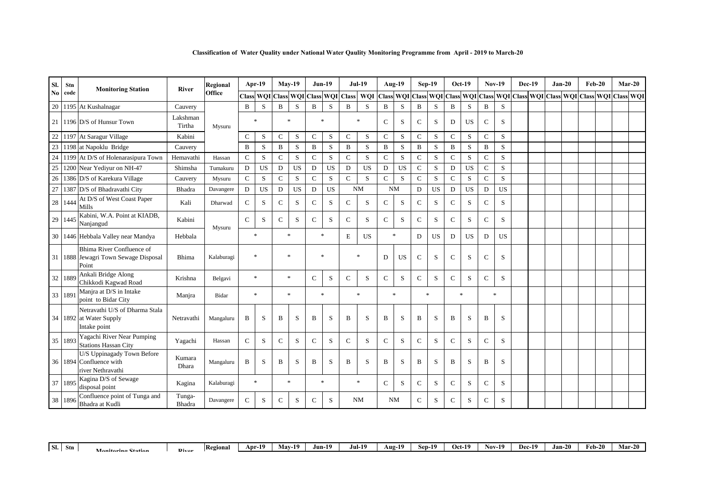| Classification of Water Quality under National Water Qaulity Monitoring Programme from April - 2019 to March-20 |  |  |
|-----------------------------------------------------------------------------------------------------------------|--|--|
|                                                                                                                 |  |  |

| Sl.                    | Stn     | <b>Monitoring Station</b>                                                  | River              | Regional   |               | Apr-19           |             | $Mav-19$  | $Jun-19$                  |             |               | <b>Jul-19</b> |               | <b>Aug-19</b> |               | $Sep-19$  |               | $Oct-19$  | <b>Nov-19</b> |           | <b>Dec-19</b> | $Jan-20$ | $Feb-20$                                                                                  |  | $Mar-20$ |
|------------------------|---------|----------------------------------------------------------------------------|--------------------|------------|---------------|------------------|-------------|-----------|---------------------------|-------------|---------------|---------------|---------------|---------------|---------------|-----------|---------------|-----------|---------------|-----------|---------------|----------|-------------------------------------------------------------------------------------------|--|----------|
| $\mathbf{N}\mathbf{0}$ | code    |                                                                            |                    | Office     |               | <b>Class WOI</b> |             |           | Class WQI Class WQI Class |             |               | <b>WQI</b>    |               |               |               |           |               |           |               |           |               |          | Class WQI Class WQI Class WQI Class WQI Class WQI Class WQI Class WQI Class WQI Class WQI |  |          |
| 20                     |         | 1195 At Kushalnagar                                                        | Cauvery            |            | B             | S                | B           | S         | B                         | S           | B             | S             | B             | S             | B             | S         | B             | S         | B             | S         |               |          |                                                                                           |  |          |
|                        |         | 21   1196 D/S of Hunsur Town                                               | Lakshman<br>Tirtha | Mysuru     |               | $\ast$           | $\ast$      |           | $\ast$                    |             |               | $\ast$        | $\mathcal{C}$ | S             | $\mathcal{C}$ | S         | D             | <b>US</b> | $\mathcal{C}$ | S         |               |          |                                                                                           |  |          |
| 22                     |         | 1197 At Saragur Village                                                    | Kabini             |            | $\mathbf C$   | S                | $\mathbf C$ | ${\bf S}$ | $\mathbf C$               | S           | $\mathcal{C}$ | S             | $\mathcal{C}$ | S             | $\mathbf C$   | S         | $\mathbf C$   | S         | $\mathbf C$   | S         |               |          |                                                                                           |  |          |
| 23                     |         | 1198 at Napoklu Bridge                                                     | Cauvery            |            | B             | S                | B           | S         | B                         | S           | B             | S             | B             | S             | B             | S         | B             | S         | B             | S         |               |          |                                                                                           |  |          |
| 24                     |         | 1199 At D/S of Holenarasipura Town                                         | Hemavathi          | Hassan     | $\mathbf C$   | S                | $\mathbf C$ | ${\bf S}$ | $\mathbf C$               | $\mathbf S$ | $\mathbf C$   | S             | $\mathbf C$   | S             | $\mathbf C$   | S         | $\mathbf C$   | S         | $\mathsf{C}$  | S         |               |          |                                                                                           |  |          |
| 25                     |         | 1200 Near Yediyur on NH-47                                                 | Shimsha            | Tumakuru   | D             | <b>US</b>        | D           | <b>US</b> | D                         | US          | D             | <b>US</b>     | D             | <b>US</b>     | $\mathbf C$   | S         | $\mathbf D$   | <b>US</b> | $\mathbf C$   | S         |               |          |                                                                                           |  |          |
| 26                     |         | 1386 D/S of Karekura Village                                               | Cauvery            | Mysuru     | $\mathsf{C}$  | S                | $\mathbf C$ | S.        | $\mathcal{C}$             | S           | $\mathcal{C}$ | S             | $\mathcal{C}$ | S             | $\mathsf{C}$  | S         | $\mathcal{C}$ | S         | $\mathcal{C}$ | S         |               |          |                                                                                           |  |          |
| 27                     |         | 1387 D/S of Bhadravathi City                                               | Bhadra             | Davangere  | D             | <b>US</b>        | D           | <b>US</b> | $\mathbf D$               | <b>US</b>   |               | <b>NM</b>     |               | <b>NM</b>     | ${\bf D}$     | <b>US</b> | D             | US        | D             | <b>US</b> |               |          |                                                                                           |  |          |
|                        | 28 1444 | At D/S of West Coast Paper<br>Mills                                        | Kali               | Dharwad    | $\mathbf C$   | S                | $\mathbf C$ | ${\bf S}$ | $\mathcal{C}$             | S           | C             | S             | $\mathcal{C}$ | S             | $\mathsf{C}$  | S         | $\mathbf C$   | S         | $\mathbf C$   | S         |               |          |                                                                                           |  |          |
| 29                     | 1445    | Kabini, W.A. Point at KIADB,<br>Nanjangud                                  | Kabini             | Mysuru     | $\mathcal{C}$ | S                | $\mathbf C$ | S         | $\mathbf C$               | S           | $\mathsf{C}$  | S             | $\mathbf C$   | S             | $\mathsf{C}$  | S         | $\mathsf{C}$  | S         | $\mathsf{C}$  | S         |               |          |                                                                                           |  |          |
|                        |         | 30 1446 Hebbala Valley near Mandya                                         | Hebbala            |            |               | $\ast$           |             | $\ast$    | $\ast$                    |             | E             | <b>US</b>     |               | $\ast$        | D             | <b>US</b> | D             | <b>US</b> | D             | <b>US</b> |               |          |                                                                                           |  |          |
|                        |         | Bhima River Confluence of<br>31 1888 Jewagri Town Sewage Disposal<br>Point | Bhima              | Kalaburagi |               | $\ast$           |             | $\ast$    | $\ast$                    |             |               | $\ast$        | D             | <b>US</b>     | $\mathsf{C}$  | S         | $\mathsf{C}$  | S         | $\mathbf C$   | S         |               |          |                                                                                           |  |          |
| 32                     | 1889    | Ankali Bridge Along<br>Chikkodi Kagwad Road                                | Krishna            | Belgavi    |               | $\ast$           |             | $\ast$    | $\mathcal{C}$             | $\mathbf S$ | $\mathcal{C}$ | S             | $\mathcal{C}$ | S             | $\mathcal{C}$ | S         | $\mathcal{C}$ | S         | $\mathcal{C}$ | S         |               |          |                                                                                           |  |          |
|                        | 33 1891 | Manira at D/S in Intake<br>point to Bidar City                             | Manjra             | Bidar      |               | $\ast$           |             | $\ast$    | $\ast$                    |             |               | $\ast$        |               | $\ast$        |               | $\ast$    | $\ast$        |           | $\ast$        |           |               |          |                                                                                           |  |          |
|                        |         | Netravathi U/S of Dharma Stala<br>34 1892 at Water Supply<br>Intake point  | Netravathi         | Mangaluru  | B             | S                | B           | S         | B                         | S           | B             | S             | B             | S             | B             | S         | B             | S         | B             | S         |               |          |                                                                                           |  |          |
|                        | 35 1893 | Yagachi River Near Pumping<br><b>Stations Hassan City</b>                  | Yagachi            | Hassan     | $\mathsf{C}$  | S                | $\mathbf C$ | S         | $\mathbf C$               | S           | $\mathsf{C}$  | S             | $\mathbf C$   | S             | $\mathsf{C}$  | S         | $\mathsf{C}$  | S         | $\mathsf{C}$  | S         |               |          |                                                                                           |  |          |
|                        |         | U/S Uppinagady Town Before<br>36 1894 Confluence with<br>river Nethravathi | Kumara<br>Dhara    | Mangaluru  | B             | S                | B           | S         | B                         | S           | B             | S             | B             | S             | B             | S         | B             | S         | B             | S         |               |          |                                                                                           |  |          |
| 37                     | 1895    | Kagina D/S of Sewage<br>disposal point                                     | Kagina             | Kalaburagi |               | $\ast$           |             | $\ast$    | $\ast$                    |             |               | $\ast$        | $\mathcal{C}$ | S             | $\mathsf{C}$  | S         | $\mathsf{C}$  | S         | $\mathsf{C}$  | S         |               |          |                                                                                           |  |          |
|                        | 38 1896 | Confluence point of Tunga and<br>Bhadra at Kudli                           | Tunga-<br>Bhadra   | Davangere  | $\mathsf{C}$  | S                | C           | S         | $\mathcal{C}$             | S           |               | <b>NM</b>     |               | <b>NM</b>     | $\mathsf{C}$  | S         | C             | S         | $\mathsf{C}$  | S         |               |          |                                                                                           |  |          |

| I SI.<br>Stn | Manitaring Statian | <b>Divor</b> | Regional | Apr-19 | <b>May-19</b> | Jun-1' | <b>Jul-19</b> | Aug-19 | $Sep-19$ | $Oct-19$ | $Nov-$<br>10<br>- | <b>Dec-19</b> | Jan-20 | Feb-20 | $\sim$<br><b>Mar-20</b> |
|--------------|--------------------|--------------|----------|--------|---------------|--------|---------------|--------|----------|----------|-------------------|---------------|--------|--------|-------------------------|
|              |                    |              |          |        |               |        |               |        |          |          |                   |               |        |        |                         |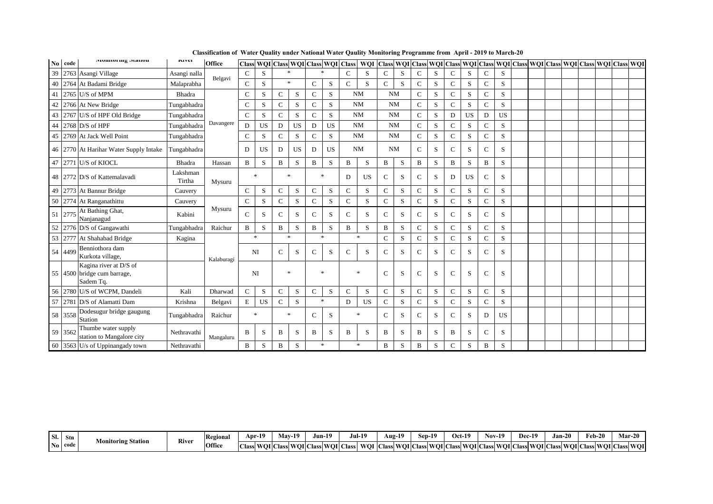|    | No code | голногищ этапон                                                    | <b>IMVCI</b>       | Office     |             | Class WQI Class WQI Class WQI Class |              |           |               |              |               | <b>WOI</b> |               |   |               |   |               |           |                |           |  |  |  | Class WQI Class WQI Class WQI Class WQI Class WQI Class WQI Class WQI Class WQI Class WQI |  |
|----|---------|--------------------------------------------------------------------|--------------------|------------|-------------|-------------------------------------|--------------|-----------|---------------|--------------|---------------|------------|---------------|---|---------------|---|---------------|-----------|----------------|-----------|--|--|--|-------------------------------------------------------------------------------------------|--|
| 39 |         | 2763 Asangi Village                                                | Asangi nalla       |            | $\mathbf C$ | S                                   |              | $\ast$    | $\ast$        |              | $\mathcal{C}$ | S          | $\mathbf C$   | S | $\mathsf{C}$  | S | C             | S         | $\mathcal{C}$  | S         |  |  |  |                                                                                           |  |
|    |         | 40 2764 At Badami Bridge                                           | Malaprabha         | Belgavi    | C           | S                                   |              | $\ast$    | $\mathbf C$   | S            | $\mathbf C$   | S          | $\mathbf C$   | S | $\mathcal{C}$ | S | $\mathbf C$   | S         | $\mathcal{C}$  | S         |  |  |  |                                                                                           |  |
| 41 |         | 2765 U/S of MPM                                                    | Bhadra             |            | С           | S                                   | C            | S         | $\mathbf C$   | S            |               | <b>NM</b>  | <b>NM</b>     |   | $\mathsf{C}$  | S | $\mathcal{C}$ | S         | C              | S         |  |  |  |                                                                                           |  |
|    |         | 42 2766 At New Bridge                                              | Tungabhadra        |            | C           | S                                   | $\mathbf C$  | S         | $\mathcal{C}$ | S            |               | <b>NM</b>  | <b>NM</b>     |   | $\mathsf{C}$  | S | $\mathbf C$   | S         | $\mathcal{C}$  | S         |  |  |  |                                                                                           |  |
| 43 |         | 2767 U/S of HPF Old Bridge                                         | Tungabhadra        |            | C           | S                                   | C            | S         | $\mathbf C$   | S            |               | <b>NM</b>  | <b>NM</b>     |   | $\mathcal{C}$ | S | D             | <b>US</b> | D              | <b>US</b> |  |  |  |                                                                                           |  |
| 44 |         | 2768 D/S of HPF                                                    | Tungabhadra        | Davangere  | D           | <b>US</b>                           | D            | <b>US</b> | D             | <b>US</b>    |               | <b>NM</b>  | <b>NM</b>     |   | $\mathbf C$   | S | $\mathbf C$   | S         | C              | S         |  |  |  |                                                                                           |  |
| 45 |         | 2769 At Jack Well Point                                            | Tungabhadra        |            | C           | S                                   | $\mathbf C$  | S         | $\mathcal{C}$ | S            |               | <b>NM</b>  | <b>NM</b>     |   | $\mathbf C$   | S | $\mathcal{C}$ | S         | $\mathcal{C}$  | S         |  |  |  |                                                                                           |  |
|    |         | 46 2770 At Harihar Water Supply Intake                             | Tungabhadra        |            | D           | US.                                 | D            | <b>US</b> | D             | <b>US</b>    |               | <b>NM</b>  | <b>NM</b>     |   | $\mathcal{C}$ | S | C             | S         | C              | S         |  |  |  |                                                                                           |  |
|    | 47 2771 | U/S of KIOCL                                                       | Bhadra             | Hassan     | B           | S                                   | B            | S         | B             | S            | B             | S          | B             | S | B             | S | B             | S         | B              | S         |  |  |  |                                                                                           |  |
|    |         | 48 2772 D/S of Kattemalavadi                                       | Lakshman<br>Tirtha | Mysuru     |             | $\ast$                              | $\ast$       |           | $\ast$        |              | D             | <b>US</b>  | $\mathsf{C}$  | S | $\mathbf C$   | S | D             | <b>US</b> | C              | S         |  |  |  |                                                                                           |  |
|    |         | 49 2773 At Bannur Bridge                                           | Cauvery            |            | C           | S                                   | C            | S         | $\mathbf C$   | S            | $\mathbf C$   | S          | $\mathbf C$   | S | $\mathbf C$   | S | $\mathbf C$   | S         | $\mathcal{C}$  | S         |  |  |  |                                                                                           |  |
|    |         | 50 2774 At Ranganathittu                                           | Cauvery            |            | $\mathbf C$ | S                                   | $\mathbf C$  | S         | $\mathbf C$   | S            | $\mathbf C$   | S          | ${\bf C}$     | S | $\mathbf C$   | S | $\mathbf C$   | S         | $\mathbf C$    | S         |  |  |  |                                                                                           |  |
|    | 51 2775 | At Bathing Ghat,<br>Nanjanagud                                     | Kabini             | Mysuru     | $\mathbf C$ | S                                   | $\mathsf{C}$ | S         | $\mathbf C$   | S            | $\mathcal{C}$ | S          | $\mathbf C$   | S | $\mathsf{C}$  | S | $\mathbf C$   | S         | $\mathcal{C}$  | S         |  |  |  |                                                                                           |  |
| 52 |         | 2776 D/S of Gangawathi                                             | Tungabhadra        | Raichur    | B           | S                                   | B            | S         | $\mathbf{B}$  | S            | B             | S          | B             | S | $\mathbf C$   | S | C             | S         | $\overline{C}$ | S         |  |  |  |                                                                                           |  |
|    | 53 2777 | At Shahabad Bridge                                                 | Kagina             |            |             | $\ast$                              | $\ast$       |           | $\ast$        |              |               | $\ast$     | $\mathbf C$   | S | $\mathsf{C}$  | S | $\mathbf C$   | S         | $\mathcal{C}$  | S         |  |  |  |                                                                                           |  |
|    | 54 4499 | Benniothora dam<br>Kurkota village,                                |                    | Kalaburagi | NI          |                                     | С            | S         | $\mathbf C$   | S            | C             | S          | $\mathbf C$   | S | $\mathbf C$   | S | $\mathbf C$   | S         | $\mathcal{C}$  | S         |  |  |  |                                                                                           |  |
|    |         | Kagina river at D/S of<br>55 4500 bridge cum barrage,<br>Sadem Tq. |                    |            |             | NI                                  | $\ast$       |           | $\ast$        |              |               | $\ast$     | $\mathcal{C}$ | S | $\mathcal{C}$ | S | C             | S         | $\mathcal{C}$  | S         |  |  |  |                                                                                           |  |
|    |         | 56 2780 U/S of WCPM, Dandeli                                       | Kali               | Dharwad    | $\mathbf C$ | S                                   | C            | S         | $\mathbf C$   | S            | $\mathbf C$   | S          | $\mathbf C$   | S | $\mathbf C$   | S | $\mathsf{C}$  | S         | $\mathcal{C}$  | S         |  |  |  |                                                                                           |  |
|    | 57 2781 | D/S of Alamatti Dam                                                | Krishna            | Belgavi    | E           | <b>US</b>                           | $\mathbf C$  | S         | $\ast$        |              | D             | <b>US</b>  | $\mathbf C$   | S | $\mathbf C$   | S | $\mathsf{C}$  | S         | $\mathcal{C}$  | S         |  |  |  |                                                                                           |  |
|    | 58 3558 | Dodesugur bridge gaugung<br>Station                                | Tungabhadra        | Raichur    |             | $\ast$                              | $\ast$       |           | $\mathcal{C}$ | S            |               | $\ast$     | $\mathbf C$   | S | $\mathbf C$   | S | C             | S         | D              | <b>US</b> |  |  |  |                                                                                           |  |
|    | 59 3562 | Thumbe water supply<br>station to Mangalore city                   | Nethravathi        | Mangaluru  | B           | S                                   | B            | S         | B             | <sub>S</sub> | B             | S          | B             | S | B             | S | B             | S         | $\mathcal{C}$  | S         |  |  |  |                                                                                           |  |
|    |         | 60 3563 U/s of Uppinangady town                                    | Nethravathi        |            | B           | S                                   | B            | S         | $\ast$        |              |               | $\ast$     | B             | S | B             | S | $\mathbf C$   | S         | B              | S         |  |  |  |                                                                                           |  |

| SI. | Stn     |                           | <b>River</b> | Regional |              | Apr-19 | May- | 10<br>-12 | Jun-19                   |      | Jul-19   | Aug- $1^\circ$     | Sep-19 |                     | $Oct-19$ |         | <b>Nov-19</b> |                         | Dec-19 | Jan-20                 |         | Feb-20 |        | Mar- | $\sim$ $\sim$ |
|-----|---------|---------------------------|--------------|----------|--------------|--------|------|-----------|--------------------------|------|----------|--------------------|--------|---------------------|----------|---------|---------------|-------------------------|--------|------------------------|---------|--------|--------|------|---------------|
|     | No code | <b>Monitoring Station</b> |              | Office   | <b>Class</b> | : WOLC |      |           | . Class WOI Class WOI C' | Aass | - WOL CI | <b>Class WOI C</b> |        | <b>Class WOI C'</b> | ∟lassi   | J WOLCL |               | $\Delta$ lass WOI $C^r$ |        | <b>Class WOI Class</b> | : WOLCI | lass   | WOI C. | Aass | <b>WOI</b>    |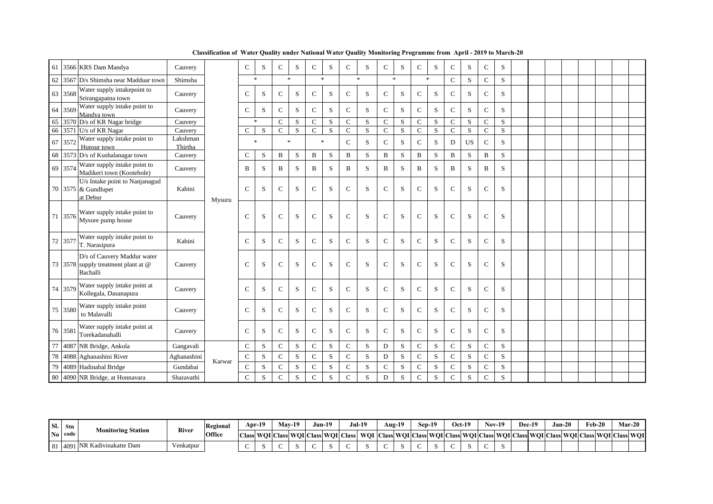|    |         | 61 3566 KRS Dam Mandya                                                         | Cauvery             |        | $\mathbf C$   | S                   | $\mathsf{C}$ | S              | $\mathsf{C}$  | S           | $\mathbf C$   | S      | $\mathbf C$   | ${\bf S}$   | $\mathsf{C}$  | S           | $\mathbf C$   | S         | $\mathbf C$    | S         |  |  |  |  |
|----|---------|--------------------------------------------------------------------------------|---------------------|--------|---------------|---------------------|--------------|----------------|---------------|-------------|---------------|--------|---------------|-------------|---------------|-------------|---------------|-----------|----------------|-----------|--|--|--|--|
| 62 |         | 3567 D/s Shimsha near Madduar town                                             | Shimsha             |        |               | $\ast$              |              | $\ast$         |               | $\ast$      |               | $\ast$ | $*$           |             | $\ast$        |             | $\mathbf C$   | S         | $\mathbf C$    | S         |  |  |  |  |
|    | 63 3568 | Water supply intakepoint to<br>Srirangapatna town                              | Cauvery             |        | C             | S                   | $\mathbf C$  | S              | $\mathcal{C}$ | S           | $\mathcal{C}$ | S.     | $\mathbf C$   | S           | $\mathsf{C}$  | S           | $\mathcal{C}$ | S         | $\mathbf C$    | S         |  |  |  |  |
|    | 64 3569 | Water supply intake point to<br>Mandva town                                    | Cauvery             |        | $\mathbf C$   | S                   | $\mathsf{C}$ | S              | $\mathbf C$   | S           | $\mathbf C$   | S      | $\mathbf C$   | S           | $\mathsf{C}$  | S           | $\mathbf C$   | S         | $\mathbf C$    | S         |  |  |  |  |
| 65 |         | 3570 D/s of KR Nagar bridge                                                    | Cauvery             |        |               | $\boldsymbol{\ast}$ | $\mathbf C$  | S              | $\mathbf C$   | S           | $\mathbf C$   | S      | $\mathbf C$   | ${\bf S}$   | $\mathbf C$   | ${\bf S}$   | $\mathbf C$   | S         | $\mathsf{C}$   | S         |  |  |  |  |
|    |         | 66 3571 U/s of KR Nagar                                                        | Cauvery             |        | C             | S                   | $\mathbf{C}$ | $\overline{S}$ | $\mathcal{C}$ | S           | $\mathcal{C}$ | S      | $\mathcal{C}$ | S           | $\mathbf C$   | S           | $\mathcal{C}$ | S         | $\mathcal{C}$  | S         |  |  |  |  |
| 67 | 3572    | Water supply intake point to<br>Hunsur town                                    | Lakshman<br>Thirtha |        |               | $\ast$              | $\ast$       |                |               | $\ast$      | $\mathcal{C}$ | S      | $\mathbf C$   | S           | $\mathsf{C}$  | S           | D             | <b>US</b> | $\mathbf C$    | S         |  |  |  |  |
| 68 |         | 3573 D/s of Kushalanagar town                                                  | Cauvery             |        | C             | S                   | B            | S              | B             | S           | B             | S      | B             | S           | $\, {\bf B}$  | S           | $\, {\bf B}$  | S         | B              | S         |  |  |  |  |
|    | 69 3574 | Water supply intake point to<br>Madikeri town (Kootehole)                      | Cauvery             |        | B             | S                   | B            | S              | $\mathbf B$   | S           | B             | S      | $\mathbf B$   | S           | $\mathbf B$   | S           | B             | S         | B              | S         |  |  |  |  |
|    |         | U/s Intake point to Nanjanagud<br>70 3575 & Gundlupet<br>at Debur              | Kabini              | Mysuru | $\mathcal{C}$ | S                   | $\mathbf C$  | S              | $\mathbf C$   | S           | $\mathcal{C}$ | S      | $\mathcal{C}$ | ${\bf S}$   | $\mathcal{C}$ | S           | $\mathcal{C}$ | S         | $\mathbf C$    | S         |  |  |  |  |
|    | 71 3576 | Water supply intake point to<br>Mysore pump house                              | Cauvery             |        | $\mathcal{C}$ | S                   | $\mathbf C$  | ${\bf S}$      | $\mathbf C$   | S           | $\mathbf C$   | S      | $\mathbf C$   | S           | $\mathcal{C}$ | S           | $\mathbf C$   | S         | $\overline{C}$ | ${\bf S}$ |  |  |  |  |
|    | 72 3577 | Water supply intake point to<br>T. Narasipura                                  | Kabini              |        | C             | S                   | $\mathbf C$  | S              | $\mathcal{C}$ | S           | $\mathsf{C}$  | S.     | $\mathsf{C}$  | S           | $\mathsf{C}$  | S           | $\mathbf C$   | S         | C              | S         |  |  |  |  |
|    |         | D/s of Cauvery Maddur water<br>73 3578 supply treatment plant at @<br>Bachalli | Cauvery             |        | C             | S                   | C            | S              | $\mathcal{C}$ | S           | C             | S      | $\mathsf{C}$  | S           | $\mathsf{C}$  | S           | C             | S         | C              | S         |  |  |  |  |
|    | 74 3579 | Water supply intake point at<br>Kollegala, Dasanapura                          | Cauvery             |        | C             | S                   | $\mathbf C$  | S              | $\mathbf C$   | S           | $\mathcal{C}$ | S.     | $\mathbf C$   | S           | $\mathcal{C}$ | S           | $\mathbf C$   | S         | $\mathcal{C}$  | S         |  |  |  |  |
|    | 75 3580 | Water supply intake point<br>to Malavalli                                      | Cauvery             |        | C             | S                   | $\mathbf C$  | S              | $\mathbf C$   | S           | $\mathsf{C}$  | S.     | $\mathbf C$   | S           | $\mathsf{C}$  | S           | $\mathbf C$   | S         | C              | S         |  |  |  |  |
|    | 76 358  | Water supply intake point at<br>Torekadanahalli                                | Cauvery             |        | $\mathcal{C}$ | S                   | $\mathbf C$  | S              | $\mathbf C$   | S           | $\mathcal{C}$ | S      | $\mathcal{C}$ | S           | $\mathcal{C}$ | S           | $\mathcal{C}$ | S         | $\mathbf C$    | S         |  |  |  |  |
| 77 |         | 4087 NR Bridge, Ankola                                                         | Gangavali           |        | $\mathbf C$   | $\mathbf S$         | $\mathbf C$  | S              | ${\bf C}$     | $\mathbf S$ | $\mathbf C$   | S      | D             | $\mathbf S$ | $\mathbf C$   | $\mathbf S$ | $\mathbf C$   | S         | $\mathbf C$    | S         |  |  |  |  |
| 78 |         | 4088 Aghanashini River                                                         | Aghanashini         |        | $\mathbf C$   | S                   | $\mathbf C$  | S              | $\mathbf C$   | $\mathbf S$ | $\mathcal{C}$ | S.     | D             | ${\bf S}$   | $\mathbf C$   | S           | $\mathcal{C}$ | S         | $\mathbf{C}$   | S         |  |  |  |  |
| 79 |         | 4089 Hadinabal Bridge                                                          | Gundabai            | Karwar | $\mathbf C$   | S                   | $\mathbf C$  | S              | $\mathbf C$   | S           | $\mathcal{C}$ | S      | $\mathcal{C}$ | S           | $\mathsf{C}$  | S           | $\mathcal{C}$ | S         | $\mathbf{C}$   | S         |  |  |  |  |
|    |         | 80 4090 NR Bridge, at Honnavara                                                | Sharavathi          |        | $\mathbf C$   | S                   | $\mathsf{C}$ | S              | $\mathbf C$   | S           | $\mathbf C$   | S      | D             | $\mathbf S$ | ${\bf C}$     | S           | $\mathbf C$   | S         | $\mathbf C$    | S         |  |  |  |  |

| Sl. | Stn     |                           |           | Regional | $Arr-19$ | <b>Mav-19</b> | Jun-19 |                                                 | Jul-19                                                                                              | Aug- $19$ | $\overline{10}$<br>Sep-19 |        | <b>Oct-19</b> | $Nov-19$ |  | Dec-19 | Jan-20 | $\sim$ $\sim$ | Feb-20 |  | Mar-20 |
|-----|---------|---------------------------|-----------|----------|----------|---------------|--------|-------------------------------------------------|-----------------------------------------------------------------------------------------------------|-----------|---------------------------|--------|---------------|----------|--|--------|--------|---------------|--------|--|--------|
|     | No code | <b>Monitoring Station</b> | River     | Office   |          |               |        | Class   WOI   Class   WOI   Class   WOI   Class | WQI  Class  WQI  Class  WQI  Class  WQI  Class  WQI  Class  WQI  Class  WQI  Class  WQI  Class  WQI |           |                           |        |               |          |  |        |        |               |        |  |        |
| 81  | . 14091 | INR Kadivinakatte Dam     | enkatpur/ |          |          |               |        |                                                 |                                                                                                     |           |                           | $\sim$ |               |          |  |        |        |               |        |  |        |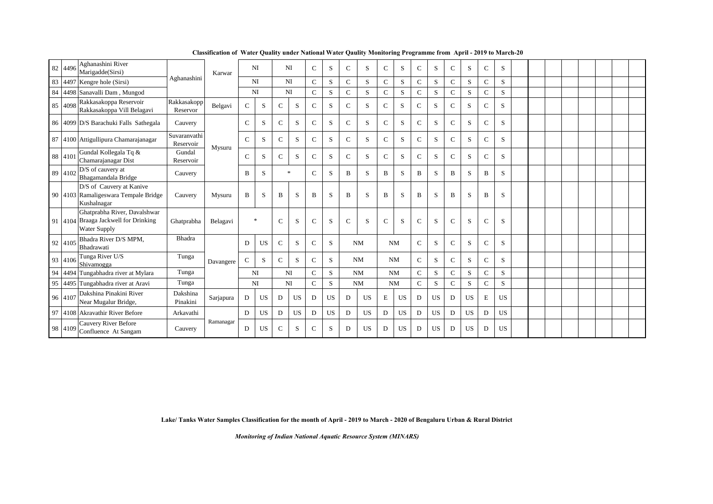|    | 82 4496 | Aghanashini River<br>Marigadde(Sirsi)                                                       |                           | Karwar    |              | NI        |              | NI     | $\mathcal{C}$ | S            | $\mathbf{C}$ | S         | $\mathbf C$ | S  | C             | S            | $\mathcal{C}$ | S | C              | S |  |  |  |  |
|----|---------|---------------------------------------------------------------------------------------------|---------------------------|-----------|--------------|-----------|--------------|--------|---------------|--------------|--------------|-----------|-------------|----|---------------|--------------|---------------|---|----------------|---|--|--|--|--|
|    |         | 83 4497 Kengre hole (Sirsi)                                                                 | Aghanashini               |           |              | NI        |              | NI     | $\mathcal{C}$ | S            | C            | S         | $\mathbf C$ | S  | $\mathcal{C}$ | S            | C             | S | $\mathbf C$    | S |  |  |  |  |
| 84 |         | 4498 Sanavalli Dam, Mungod                                                                  |                           |           | <b>NI</b>    |           |              | NI     | $\mathcal{C}$ | S            | $\mathbf C$  | S         | $\mathbf C$ | S  | $\mathcal{C}$ | S            | $\mathcal{C}$ | S | $\mathbf C$    | S |  |  |  |  |
|    | 85 4098 | Rakkasakoppa Reservoir<br>Rakkasakoppa Vill Belagavi                                        | Rakkasakopp<br>Reservor   | Belgavi   | $\mathsf{C}$ | S         | C            | S      | $\mathbf C$   | S            | $\mathbf{C}$ | S         | $\mathbf C$ | S  | $\mathcal{C}$ | S            | $\mathbf C$   | S | $\mathbf C$    | S |  |  |  |  |
|    |         | 86 4099 D/S Barachuki Falls Sathegala                                                       | Cauvery                   |           | C            | S         | C            | S      | $\mathcal{C}$ | S            | C            | S         | $\mathbf C$ | S  | $\mathsf{C}$  | S            | $\mathcal{C}$ | S | C              | S |  |  |  |  |
|    |         | 87 4100 Attigullipura Chamarajanagar                                                        | Suvaranvathi<br>Reservoir | Mysuru    | C            | S         | C            | S      | $\mathcal{C}$ | S            | C            | S         | $\mathbf C$ | S  | C             | S            | $\mathcal{C}$ | S | C              | S |  |  |  |  |
|    | 88 4101 | Gundal Kollegala Tq &<br>Chamarajanagar Dist                                                | Gundal<br>Reservoir       |           | C            | S         | Ċ.           | S      | $\mathcal{C}$ | S            | $\mathbf C$  | S         | $\mathbf C$ | S  | $\mathsf{C}$  | S            | $\mathbf{C}$  | S | $\mathbf{C}$   | S |  |  |  |  |
|    | 89 4102 | D/S of cauvery at<br>Bhagamandala Bridge                                                    | Cauvery                   |           | B            | S         |              | $\ast$ | $\mathcal{C}$ | S            | B            | S         | B           | S  | B             | S            | B             | S | B              | S |  |  |  |  |
|    |         | D/S of Cauvery at Kanive<br>90 4103 Ramaligeswara Tempale Bridge<br>Kushalnagar             | Cauvery                   | Mysuru    | B            | S         | B            | S      | B             | S            | B            | S         | B           | S  | B             | S            | B             | S | B              | S |  |  |  |  |
|    |         | Ghatprabha River, Davalshwar<br>91 4104 Braaga Jackwell for Drinking<br><b>Water Supply</b> | Ghatprabha                | Belagavi  |              | $\ast$    | C            | S      | $\mathcal{C}$ | S            | $\mathbf C$  | S         | $\mathbf C$ | S  | $\mathsf{C}$  | S            | $\mathcal{C}$ | S | $\overline{C}$ | S |  |  |  |  |
|    | 92 4105 | Bhadra River D/S MPM,<br>Bhadrawati                                                         | <b>Bhadra</b>             |           | D            | <b>US</b> | C            | S      | $\mathcal{C}$ | <sub>S</sub> |              | <b>NM</b> |             | NM | $\mathcal{C}$ | <sub>S</sub> | $\mathcal{C}$ | S | $\mathcal{C}$  | S |  |  |  |  |
|    | 93 4106 | Tunga River U/S<br>Shivamogga                                                               | Tunga                     | Davangere | $\mathsf{C}$ | S         | $\mathbf{C}$ | S      | $\mathcal{C}$ | S            |              | NM        |             | NM | $\mathcal{C}$ | S            | $\mathcal{C}$ | S | $\mathbf C$    | S |  |  |  |  |
|    |         | 94 4494 Tungabhadra river at Mylara                                                         | Tunga                     |           | <b>NI</b>    |           |              | NI     | $\mathcal{C}$ | S            |              | <b>NM</b> |             | NM | $\mathcal{C}$ | S            | $\mathbf{C}$  | S | C              | S |  |  |  |  |
|    |         | 95 4495 Tungabhadra river at Aravi                                                          | Tunga                     |           |              | NI        |              | NI     | $\mathbf C$   | S            |              | NM        |             | NM | $\mathcal{C}$ | S            | $\mathbf C$   | S | $\mathbf C$    | S |  |  |  |  |

**Classification of Water Quality under National Water Qaulity Monitoring Programme from April - 2019 to March-20**

**Lake/ Tanks Water Samples Classification for the month of April - 2019 to March - 2020 of Bengaluru Urban & Rural District**

Pinakini Sarjapura D | US | D | US | D | US | D | US | E | US | D | US | D | US | E | US

97 4108 Akravathir River Before Arkavathi D US D US D US D US D US D US D US D US

Confluence At Sangam Cauvery <sup>D</sup> US <sup>C</sup> <sup>S</sup> <sup>C</sup> <sup>S</sup> <sup>D</sup> US <sup>D</sup> US <sup>D</sup> US <sup>D</sup> US <sup>D</sup> US

*Monitoring of Indian National Aquatic Resource System (MINARS)* 

96  $\left| 4107 \right|$ Dakshina Pinakini River Near Mugalur Bridge,

98  $4109$  Cauvery River Before

Dakshina

Ramanagar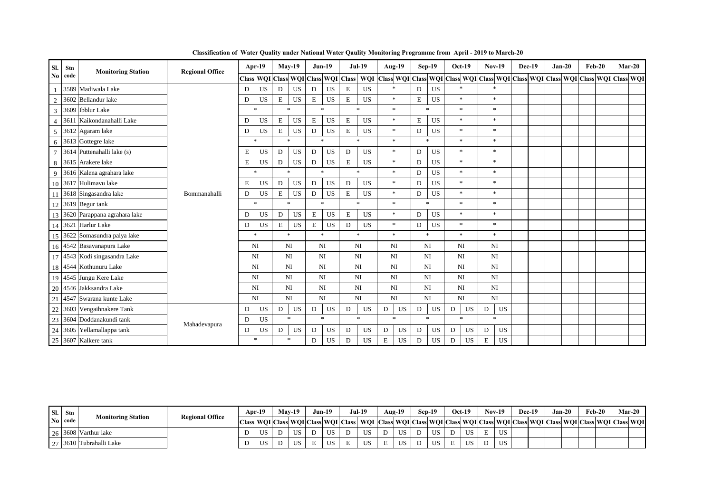| sl.             | Stn     | <b>Monitoring Station</b>         | <b>Regional Office</b> |   | Apr-19    |                     | $May-19$  | $Jun-19$                            |           |             | <b>Jul-19</b> | Aug-19                                                                                        |             | $Sep-19$  | $Oct-19$         | <b>Nov-19</b>  | <b>Dec-19</b> | $Jan-20$ | $Feb-20$ | $Mar-20$ |  |
|-----------------|---------|-----------------------------------|------------------------|---|-----------|---------------------|-----------|-------------------------------------|-----------|-------------|---------------|-----------------------------------------------------------------------------------------------|-------------|-----------|------------------|----------------|---------------|----------|----------|----------|--|
|                 | No code |                                   |                        |   |           |                     |           | Class WQI Class WQI Class WQI Class |           |             |               | WQI Class WQI Class WQI Class WQI Class WQI Class WQI Class WQI Class WQI Class WQI Class WQI |             |           |                  |                |               |          |          |          |  |
|                 |         | 3589 Madiwala Lake                |                        | D | <b>US</b> | D                   | <b>US</b> | D                                   | <b>US</b> | E           | <b>US</b>     | $\ast$                                                                                        | D           | US        | $\ast$           |                |               |          |          |          |  |
| $\overline{2}$  |         | 3602 Bellandur lake               |                        | D | <b>US</b> | $\mathbf E$         | <b>US</b> | $\mathbf E$                         | <b>US</b> | E           | <b>US</b>     | $\ast$                                                                                        | E           | <b>US</b> | $\ast$           | $\ast$         |               |          |          |          |  |
| $\overline{3}$  |         | 3609 Ibblur Lake                  |                        |   | $\ast$    | $\ast$              |           | $\ast$                              |           |             | $\ast$        | $\ast$                                                                                        |             | $\ast$    | $\ast$           | $\ast$         |               |          |          |          |  |
| $\overline{4}$  | 3611    | Kaikondanahalli Lake              |                        | D | US        | E                   | <b>US</b> | $\mathbf E$                         | <b>US</b> | E           | <b>US</b>     | $\ast$                                                                                        | $\mathbf E$ | US        | $\ast$           | $\ast$         |               |          |          |          |  |
| 5               |         | 3612 Agaram lake                  |                        | D | US        | E                   | <b>US</b> | D                                   | <b>US</b> | E           | <b>US</b>     | $\ast$                                                                                        | D           | <b>US</b> | $\ast$           | $\ast$         |               |          |          |          |  |
| 6               |         | 3613 Gottegre lake                |                        |   | $\ast$    | $\boldsymbol{\ast}$ |           | $\mathbf{r}$                        |           |             | <b>sk</b>     | $\mathbf{x}$                                                                                  |             | $\ast$    | $\ast$           | $\ast$         |               |          |          |          |  |
| $\tau$          |         | 3614 Puttenahalli lake (s)        |                        | Ε | <b>US</b> | D                   | <b>US</b> | D                                   | <b>US</b> | D           | <b>US</b>     | $\ast$                                                                                        | D           | <b>US</b> | $\ast$           | $\ast$         |               |          |          |          |  |
| 8               |         | 3615 Arakere lake                 |                        | Ε | <b>US</b> | D                   | <b>US</b> | D                                   | <b>US</b> | E           | <b>US</b>     | $\ast$                                                                                        | D           | <b>US</b> | $\ast$           | $\ast$         |               |          |          |          |  |
| 9 <sup>°</sup>  |         | 3616 Kalena agrahara lake         |                        |   | $\ast$    | $\ast$              |           | $\ast$                              |           |             | $\ast$        | $\ast$                                                                                        | D           | <b>US</b> | $\ast$           | $\ast$         |               |          |          |          |  |
|                 |         | 10 3617 Hulimavu lake             |                        | E | <b>US</b> | D                   | <b>US</b> | D                                   | <b>US</b> | D           | <b>US</b>     | $\ast$                                                                                        | ${\bf D}$   | <b>US</b> | $\ast$           | $\ast$         |               |          |          |          |  |
|                 |         | 11 3618 Singasandra lake          | Bommanahalli           | D | <b>US</b> | E                   | US        | D                                   | <b>US</b> | E           | <b>US</b>     | *                                                                                             | D           | <b>US</b> | $\ast$           | $\ast$         |               |          |          |          |  |
|                 |         | 12 3619 Begur tank                |                        |   | $\ast$    | $\ast$              |           | $\mathbf{x}$                        |           |             | $\ast$        | $\ast$                                                                                        |             | $\ast$    | $\ast$           | $\ast$         |               |          |          |          |  |
|                 |         | 13 3620 Parappana agrahara lake   |                        | D | <b>US</b> | D                   | <b>US</b> | $\mathbf E$                         | <b>US</b> | $\mathbf E$ | <b>US</b>     | $\ast$                                                                                        | D           | <b>US</b> | $\ast$           | $\ast$         |               |          |          |          |  |
|                 |         | 14 3621 Harlur Lake               |                        | D | <b>US</b> | E                   | <b>US</b> | $\mathbf E$                         | <b>US</b> | D           | <b>US</b>     | $\ast$                                                                                        | D           | <b>US</b> | $\ast$           | $\ast$         |               |          |          |          |  |
|                 |         | 15 3622 Somasundra palya lake     |                        |   | *         |                     | $\ast$    | $\ast$                              |           |             | $\ast$        | $\ast$                                                                                        |             | $\ast$    | $\ast$           | $\ast$         |               |          |          |          |  |
|                 |         | 16 4542 Basavanapura Lake         |                        |   | NI        | <b>NI</b>           |           | NI                                  |           |             | <b>NI</b>     | NI                                                                                            |             | NI        | NI               | N <sub>I</sub> |               |          |          |          |  |
|                 |         | 17 4543 Kodi singasandra Lake     |                        |   | NI        | <b>NI</b>           |           | NI                                  |           |             | NI            | NI                                                                                            |             | NI        | NI               | N <sub>I</sub> |               |          |          |          |  |
|                 |         | 18 4544 Kothunuru Lake            |                        |   | <b>NI</b> | NI                  |           | NI                                  |           |             | NI            | NI                                                                                            |             | NI        | N <sub>I</sub>   | N <sub>I</sub> |               |          |          |          |  |
| 19              |         | 4545 Jungu Kere Lake              |                        |   | <b>NI</b> | <b>NI</b>           |           | NI                                  |           |             | <b>NI</b>     | NI                                                                                            |             | NI        | <b>NI</b>        | N <sub>I</sub> |               |          |          |          |  |
|                 |         | 20 4546 Jakksandra Lake           |                        |   | NI        | <b>NI</b>           |           | NI                                  |           |             | NI            | NI                                                                                            |             | NI        | NI               | N <sub>I</sub> |               |          |          |          |  |
|                 |         | 4547 Swarana kunte Lake           |                        |   | NI        | NI                  |           | NI                                  |           |             | NI            | NI                                                                                            |             | NI        | N <sub>I</sub>   | NI             |               |          |          |          |  |
| $\frac{20}{21}$ |         | 3603 Vengaihnakere Tank           |                        | D | <b>US</b> | D                   | <b>US</b> | D                                   | US        | D           | <b>US</b>     | D<br><b>US</b>                                                                                | D           | US        | <b>US</b><br>D   | US<br>D        |               |          |          |          |  |
| 23              |         | 3604 Doddanakundi tank            |                        | D | <b>US</b> |                     | $\ast$    | $\ast$                              |           |             | $\ast$        | $\mathbf{x}$                                                                                  |             | $\ast$    | $\ast$           | $\ast$         |               |          |          |          |  |
|                 |         | 24 3605 Yellamallappa tank        | Mahadevapura           | D | <b>US</b> | D                   | <b>US</b> | D                                   | <b>US</b> | D           | <b>US</b>     | <b>US</b><br>D                                                                                | D           | <b>US</b> | <b>US</b><br>D   | <b>US</b><br>D |               |          |          |          |  |
|                 |         | $\frac{24}{25}$ 3607 Kalkere tank |                        |   | *         |                     | $\ast$    | D                                   | US        | D           | <b>US</b>     | E<br><b>US</b>                                                                                | D           | <b>US</b> | $_{\rm US}$<br>D | Е<br>US        |               |          |          |          |  |

**Classification of Water Quality under National Water Qaulity Monitoring Programme from April - 2019 to March-20**

| SI. | Stn     | <b>Monitoring Station</b> | <b>Regional Office</b> | Apr-19 | $Mav-19$ |     | $Jun-19$ | Jul-19                                                                                                                            | $Aug-19$  |              | Sep-19 |              | <b>Oct-19</b> | $Nov-19$ | Dec-19 | Jan-20 | Feb-20 |  | <b>Mar-20</b> |
|-----|---------|---------------------------|------------------------|--------|----------|-----|----------|-----------------------------------------------------------------------------------------------------------------------------------|-----------|--------------|--------|--------------|---------------|----------|--------|--------|--------|--|---------------|
|     | No code |                           |                        |        |          |     |          | Class WQI Class WQI Class WQI Class WQI Class WQI Class WQI Class WQI Class WQI Class WQI Class WQI Class WQI Class WQI Class WQI |           |              |        |              |               |          |        |        |        |  |               |
|     |         | 26 3608 Varthur lake      |                        | US     | US       |     | US       | US.                                                                                                                               | <b>US</b> | <sub>n</sub> | US     | $\mathbf{r}$ | TIC           | US.      |        |        |        |  |               |
|     |         | 27 3610 Tubrahalli Lake   |                        | US     | US       | . . | US       | US.                                                                                                                               | US        |              | US     |              |               | US.      |        |        |        |  |               |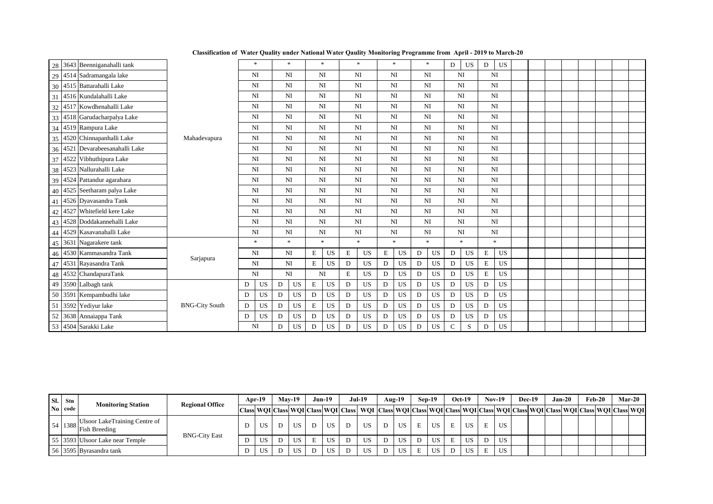| 28 3643 Beenniganahalli tank    |                       |   | $\ast$         |   | $\ast$                 |             | $\ast$    |   | $*$            |             | $*$       |                | $\ast$      | D             | <b>US</b> | D           | <b>US</b>      |  |  |  |  |
|---------------------------------|-----------------------|---|----------------|---|------------------------|-------------|-----------|---|----------------|-------------|-----------|----------------|-------------|---------------|-----------|-------------|----------------|--|--|--|--|
| 29 4514 Sadramangala lake       |                       |   | NI             |   | NI                     | <b>NI</b>   |           |   | N <sub>I</sub> |             | NI        |                | NI          | NI            |           | NI          |                |  |  |  |  |
| 30 4515 Battarahalli Lake       |                       |   | N <sub>I</sub> |   | NI                     | NI          |           |   | NI             |             | NI        | NI             |             | NI            |           |             | N <sub>I</sub> |  |  |  |  |
| 31 4516 Kundalahalli Lake       |                       |   | NI             |   | NI                     | NI          |           |   | NI             | <b>NI</b>   |           | <b>NI</b>      |             | <b>NI</b>     |           |             | N <sub>I</sub> |  |  |  |  |
| 32 4517 Kowdhenahalli Lake      |                       |   | NI             |   | NI                     | NI          |           |   | NI             | <b>NI</b>   |           | <b>NI</b>      |             | NI            |           |             | N <sub>I</sub> |  |  |  |  |
| 33 4518 Garudacharpalya Lake    |                       |   | NI             |   | NI                     | NI          |           |   | NI             | NI          |           | N <sub>I</sub> |             | NI            |           |             | N <sub>I</sub> |  |  |  |  |
| 34 4519 Rampura Lake            |                       |   | NI             |   | NI                     | NI          |           |   | NI             | <b>NI</b>   |           | <b>NI</b>      |             | <b>NI</b>     |           |             | N <sub>I</sub> |  |  |  |  |
| 35 4520 Chinnapanhalli Lake     | Mahadevapura          |   | NI             |   | NI                     | NI          |           |   | NI             | <b>NI</b>   |           | NI             |             | NI            |           |             | NI             |  |  |  |  |
| 36 4521 Devarabeesanahalli Lake |                       |   | NI             |   | NI                     | NI          |           |   | NI             | <b>NI</b>   |           | NI             |             | NI            |           |             | NI             |  |  |  |  |
| 37 4522 Vibhuthipura Lake       |                       |   | N <sub>I</sub> |   | NI                     | NI          |           |   | NI             | <b>NI</b>   |           | NI             |             | NI            |           |             | N <sub>I</sub> |  |  |  |  |
| 38 4523 Nallurahalli Lake       |                       |   | NI             |   | NI                     | <b>NI</b>   |           |   | NI             | <b>NI</b>   |           | <b>NI</b>      |             | <b>NI</b>     |           |             | N <sub>I</sub> |  |  |  |  |
| 39 4524 Pattandur agarahara     |                       |   | NI             |   | NI                     | <b>NI</b>   |           |   | NI             | <b>NI</b>   |           | <b>NI</b>      |             | NI            |           |             | NI             |  |  |  |  |
| 40 4525 Seetharam palya Lake    |                       |   | NI             |   | NI                     | NI          |           |   | NI             | NI          |           | N <sub>I</sub> |             | NI            |           |             | N <sub>I</sub> |  |  |  |  |
| 41 4526 Dyavasandra Tank        |                       |   | NI             |   | NI                     | NI          |           |   | NI             | <b>NI</b>   |           | <b>NI</b>      |             | <b>NI</b>     |           |             | N <sub>I</sub> |  |  |  |  |
| 42 4527 Whitefield kere Lake    |                       |   | NI             |   | NI                     | NI          |           |   | NI             | <b>NI</b>   |           | <b>NI</b>      |             | <b>NI</b>     |           |             | N <sub>I</sub> |  |  |  |  |
| 43 4528 Doddakannehalli Lake    |                       |   | N <sub>I</sub> |   | NI                     | NI          |           |   | NI             | <b>NI</b>   |           | NI             |             | NI            |           |             | N <sub>I</sub> |  |  |  |  |
| 44 4529 Kasavanahalli Lake      |                       |   | NI             |   | NI                     | NI          |           |   | NI             | NI          |           | NI             |             | <b>NI</b>     |           |             | N <sub>I</sub> |  |  |  |  |
| 45 3631 Nagarakere tank         |                       |   | $\ast$         |   | $\ast$                 |             | $\ast$    |   | $\ast$         |             | $\ast$    | $\ast$         |             |               | $\ast$    |             | $\ast$         |  |  |  |  |
| 46 4530 Kammasandra Tank        | Sarjapura             |   | NI             |   | $\mathbf{N}\mathbf{I}$ | E           | US        | E | US             | E           | US        | D              | US          | D             | US        | E           | <b>US</b>      |  |  |  |  |
| 47 4531 Rayasandra Tank         |                       |   | NI             |   | NI                     | $\mathbf E$ | <b>US</b> | D | US             | D           | US        | D              | $_{\rm US}$ | D             | <b>US</b> | $\mathbf E$ | <b>US</b>      |  |  |  |  |
| 48 4532 ChandapuraTank          |                       |   | NI             |   | NI                     | NI          |           | E | <b>US</b>      | $\mathbf D$ | <b>US</b> | $\mathbf D$    | <b>US</b>   | D             | <b>US</b> | $\mathbf E$ | <b>US</b>      |  |  |  |  |
| 49 3590 Lalbagh tank            |                       | D | US             | D | US                     | $\mathbf E$ | US        | D | <b>US</b>      | $\mathbf D$ | US        | D              | <b>US</b>   | D             | <b>US</b> | D           | <b>US</b>      |  |  |  |  |
| 50 3591 Kempambudhi lake        |                       | D | $_{\rm US}$    | D | $_{\rm US}$            | D           | US        | D | <b>US</b>      | D           | US        | D              | <b>US</b>   | D             | <b>US</b> | D           | $_{\rm US}$    |  |  |  |  |
| 3592 Yediyur lake<br>51         | <b>BNG-City South</b> | D | <b>US</b>      | D | <b>US</b>              | $\mathbf E$ | US        | D | $_{\rm US}$    | D           | <b>US</b> | D              | <b>US</b>   | D             | <b>US</b> | D           | <b>US</b>      |  |  |  |  |
| 52 3638 Annaiappa Tank          |                       | D | <b>US</b>      | D | <b>US</b>              | ${\bf D}$   | <b>US</b> | D | <b>US</b>      | D           | US        | D              | <b>US</b>   | D             | <b>US</b> | D           | <b>US</b>      |  |  |  |  |
| 53 4504 Sarakki Lake            |                       |   | NI             | D | <b>US</b>              | D           | <b>US</b> | D | <b>US</b>      | D           | US        | D              | <b>US</b>   | $\mathcal{C}$ | S         | D           | <b>US</b>      |  |  |  |  |

| SI. | <b>Stn</b> | <b>Monitoring Station</b>                                    | <b>Regional Office</b> | <b>Apr-19</b> | $Mav-19$ |   | $Jun-19$ | <b>Jul-19</b>                                                                                                                                    | Aug-19 |   | $Sen-19$  |             | $Oct-19$ |   | <b>Nov-19</b> | Dec-19 | Jan-20 | Feb-20 | Mar-20 |
|-----|------------|--------------------------------------------------------------|------------------------|---------------|----------|---|----------|--------------------------------------------------------------------------------------------------------------------------------------------------|--------|---|-----------|-------------|----------|---|---------------|--------|--------|--------|--------|
|     | No code    |                                                              |                        |               |          |   |          | Class  WQI Class  WQI Class  WQI  Class  WQI  Class  WQI Class  WQI Class  WQI Class  WQI Class  WQI Class  WQI Class  WQI Class  WQI Class  WQI |        |   |           |             |          |   |               |        |        |        |        |
|     |            | Ulsoor LakeTraining Centre of<br>$54$   1388   Fish Breeding |                        | US            | US       | D | US       | US                                                                                                                                               | US     | E | US        | E.          | US.      |   | US            |        |        |        |        |
|     |            | 55 3593 Ulsoor Lake near Temple                              | <b>BNG-City East</b>   | US            | US       |   | US       | US                                                                                                                                               | US     | D | <b>US</b> | $E_{\perp}$ | US.      | D | US            |        |        |        |        |
|     |            | 56 3595 Byrasandra tank                                      |                        | US.           | US       |   | US       | US.                                                                                                                                              | US     |   | <b>US</b> |             | US       |   | <b>US</b>     |        |        |        |        |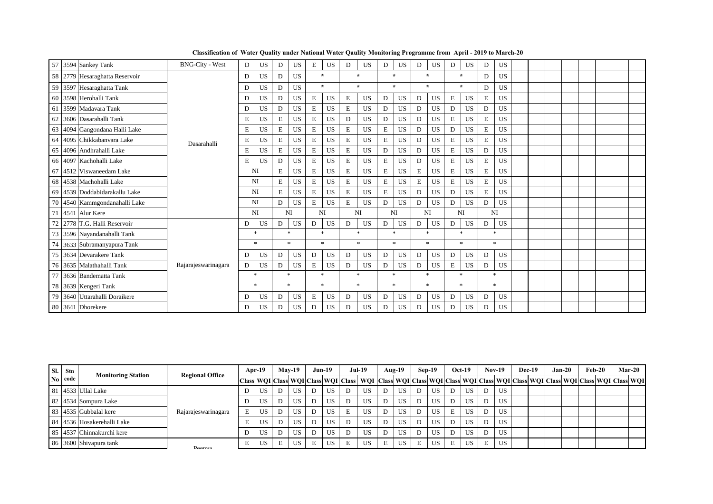|        | 57 3594 Sankey Tank            | <b>BNG-City - West</b> | D | <b>US</b>           | D           | <b>US</b> | E           | <b>US</b> | D | <b>US</b> | D | <b>US</b> | D | <b>US</b> | D           | US        | D           | US                  |  |  |  |  |
|--------|--------------------------------|------------------------|---|---------------------|-------------|-----------|-------------|-----------|---|-----------|---|-----------|---|-----------|-------------|-----------|-------------|---------------------|--|--|--|--|
|        | 58 2779 Hesaraghatta Reservoir |                        | D | <b>US</b>           | D           | <b>US</b> |             | $\star$   |   | $\star$   |   | $\star$   |   | $\star$   |             | $\star$   | D           | US                  |  |  |  |  |
|        | 59 3597 Hesaraghatta Tank      |                        | D | <b>US</b>           | D           | <b>US</b> |             | $\star$   |   | $\star$   |   | $\star$   |   | $\star$   |             | $\star$   | D           | US                  |  |  |  |  |
|        | 60 3598 Herohalli Tank         |                        | D | <b>US</b>           | D           | <b>US</b> | Е           | <b>US</b> | E | <b>US</b> | D | US        | D | <b>US</b> | E           | <b>US</b> | E           | US                  |  |  |  |  |
| 61     | 3599 Madavara Tank             |                        | D | <b>US</b>           | D           | <b>US</b> | $\mathbf E$ | <b>US</b> | E | <b>US</b> | D | <b>US</b> | D | <b>US</b> | D           | <b>US</b> | D           | US                  |  |  |  |  |
| 62     | 3606 Dasarahalli Tank          |                        | E | <b>US</b>           | $\mathbf E$ | <b>US</b> | E           | <b>US</b> | D | <b>US</b> | D | <b>US</b> | D | <b>US</b> | $\mathbf E$ | <b>US</b> | $\mathbf E$ | <b>US</b>           |  |  |  |  |
| 63     | 4094 Gangondana Halli Lake     |                        | E | <b>US</b>           | E           | <b>US</b> | E           | <b>US</b> | E | <b>US</b> | E | <b>US</b> | D | <b>US</b> | D           | <b>US</b> | E           | <b>US</b>           |  |  |  |  |
| 64     | 4095 Chikkabanyara Lake        | Dasarahalli            | E | <b>US</b>           | Е           | <b>US</b> | E           | <b>US</b> | E | <b>US</b> | E | US        | D | <b>US</b> | E           | <b>US</b> | E           | <b>US</b>           |  |  |  |  |
| 65     | 4096 Andhrahalli Lake          |                        | E | <b>US</b>           | E           | <b>US</b> | E           | <b>US</b> | E | <b>US</b> | D | <b>US</b> | D | US        | E           | <b>US</b> | D           | <b>US</b>           |  |  |  |  |
| 66     | 4097 Kachohalli Lake           |                        | E | US                  | D           | <b>US</b> | E           | <b>US</b> | E | <b>US</b> | E | <b>US</b> | D | US        | E           | <b>US</b> | E           | US                  |  |  |  |  |
| 67     | 4512 Viswaneedam Lake          |                        |   | NI                  | E           | <b>US</b> | E           | <b>US</b> | E | <b>US</b> | E | <b>US</b> | E | <b>US</b> | $\mathbf E$ | <b>US</b> | $\mathbf E$ | <b>US</b>           |  |  |  |  |
|        | 68 4538 Machohalli Lake        |                        |   | NI                  | E           | <b>US</b> | E           | <b>US</b> | E | <b>US</b> | Е | <b>US</b> | E | <b>US</b> | E           | <b>US</b> | E           | US                  |  |  |  |  |
|        | 69 4539 Doddabidarakallu Lake  |                        |   | NI                  | E           | <b>US</b> | E           | <b>US</b> | E | <b>US</b> | E | <b>US</b> | D | <b>US</b> | D           | <b>US</b> | E           | US                  |  |  |  |  |
| 70     | 4540 Kammgondanahalli Lake     |                        |   | NI                  | D           | <b>US</b> | E           | <b>US</b> | E | <b>US</b> | D | US        | D | <b>US</b> | D           | <b>US</b> | D           | US                  |  |  |  |  |
| 71     | 4541 Alur Kere                 |                        |   | NI                  |             | NI        |             | NI        |   | <b>NI</b> |   | NI        |   | <b>NI</b> |             | <b>NI</b> |             | N <sub>I</sub>      |  |  |  |  |
| $72\,$ | 2778 T.G. Halli Reservoir      |                        | D | <b>US</b>           | D           | <b>US</b> | D           | <b>US</b> | D | US        | D | US        | D | <b>US</b> | D           | <b>US</b> | D           | <b>US</b>           |  |  |  |  |
|        | 73 3596 Nayandanahalli Tank    |                        |   | $\ast$              |             | $\ast$    |             | $\ast$    |   | $\ast$    |   | $*$       |   | $\ast$    |             | $\ast$    |             | $*$                 |  |  |  |  |
| 74     | 3633 Subramanyapura Tank       |                        |   | $\boldsymbol{\ast}$ |             | $\ast$    |             | $\ast$    |   | $\ast$    |   | $\ast$    |   | $\ast$    |             | $\ast$    |             | $*$                 |  |  |  |  |
| 75     | 3634 Devarakere Tank           |                        | D | <b>US</b>           | D           | <b>US</b> | D           | <b>US</b> | D | US        | D | <b>US</b> | D | <b>US</b> | D           | <b>US</b> | D           | <b>US</b>           |  |  |  |  |
|        | 76 3635 Malathahalli Tank      | Rajarajeswarinagara    | D | <b>US</b>           | D           | <b>US</b> | E           | <b>US</b> | D | <b>US</b> | D | US        | D | <b>US</b> | E           | <b>US</b> | D           | <b>US</b>           |  |  |  |  |
| 77     | 3636 Bandematta Tank           |                        |   | $\ast$              |             | $\ast$    |             | $\ast$    |   | $\ast$    |   | $\ast$    |   | $\ast$    |             | $\ast$    |             | $\boldsymbol{\ast}$ |  |  |  |  |
|        | 78 3639 Kengeri Tank           |                        |   | $\ast$              |             | $\ast$    |             | $\ast$    |   | *         |   | $\ast$    |   | $\ast$    |             | $\ast$    |             | $\boldsymbol{\ast}$ |  |  |  |  |
| 79     | 3640 Uttarahalli Doraikere     |                        | D | <b>US</b>           | D           | US        | Е           | <b>US</b> | D | <b>US</b> | D | <b>US</b> | D | <b>US</b> | D           | <b>US</b> | D           | <b>US</b>           |  |  |  |  |
|        | 80 3641 Dhorekere              |                        | D | <b>US</b>           | D           | <b>US</b> | D           | <b>US</b> | D | <b>US</b> | D | <b>US</b> | D | <b>US</b> | D           | <b>US</b> | D           | <b>US</b>           |  |  |  |  |

**Classification of Water Quality under National Water Qaulity Monitoring Programme from April - 2019 to March-20**

| Sl. Stn | <b>Monitoring Station</b>  | <b>Regional Office</b> |   | $Apr-19$ |   | $Mav-19$ |   | $Jun-19$ |   | <b>Jul-19</b>                                                                                                                                                                                                                 | Aug-19 |   | Sep-19 |   | $Oct-19$ |   | $Nov-19$ | Dec-19 | $Jan-20$ | $Feb-20$ | <b>Mar-20</b> |
|---------|----------------------------|------------------------|---|----------|---|----------|---|----------|---|-------------------------------------------------------------------------------------------------------------------------------------------------------------------------------------------------------------------------------|--------|---|--------|---|----------|---|----------|--------|----------|----------|---------------|
| No code |                            |                        |   |          |   |          |   |          |   | Class  WOI  Class  WOI  Class  WOI  Class  WOI  Class  WOI  Class  WOI  Class  WOI  Class  WOI  Class  WOI  Class  WOI  Class  WOI  Class  WOI  Class  WOI  Class  WOI  Class  WOI  Class  WOI  Class  WOI  Class  WOI  Class |        |   |        |   |          |   |          |        |          |          |               |
|         | 81 14533 Ullal Lake        |                        |   | US       | D | US.      |   | US       |   | US                                                                                                                                                                                                                            | US     |   | US     |   | US –     |   | US       |        |          |          |               |
|         | 82 4534 Sompura Lake       |                        |   | US       | D | US       |   | US       |   | US                                                                                                                                                                                                                            | US.    |   | US     |   | US       | D | US.      |        |          |          |               |
|         | 83 4535 Gubbalal kere      | Rajarajeswarinagara    |   | US       | D | US.      |   | US       | Ε | US                                                                                                                                                                                                                            | US     |   | US     | E | US.      | D | US       |        |          |          |               |
|         | 84 4536 Hosakerehalli Lake |                        |   | US       | D | US       |   | US.      | D | US                                                                                                                                                                                                                            | US     |   | US     |   | US       | D | US       |        |          |          |               |
|         | 85 4537 Chinnakurchi kere  |                        |   | US       | D | US.      |   | US.      | D | US.                                                                                                                                                                                                                           | US     |   | US     |   | US –     |   | US       |        |          |          |               |
|         | 86 3600 Shiyapura tank     | Daanva                 | E | US       | E | US.      | E | US.      | Ε | US                                                                                                                                                                                                                            | US.    | E | US     | E | US.      | E | US       |        |          |          |               |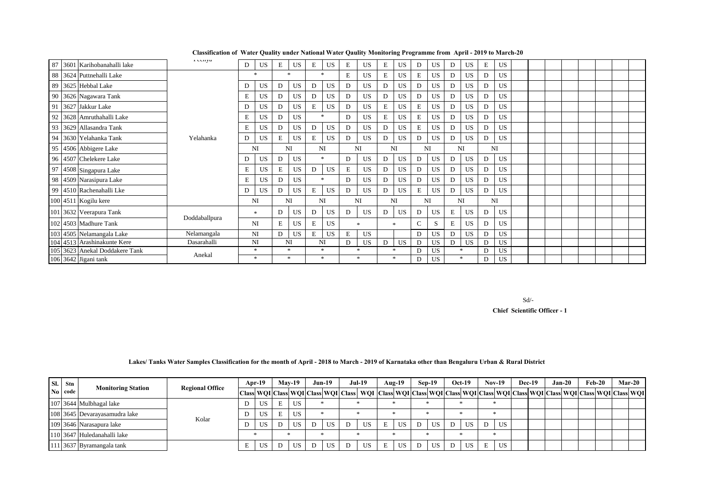| 87 3601 Karihobanahalli lake   | геенуа        | D | <b>US</b> | Е | <b>US</b> | E | <b>US</b>           | E | <b>US</b> | E         | <b>US</b> | D | <b>US</b> | D  | US.       | E  | <b>US</b> |  |  |  |  |
|--------------------------------|---------------|---|-----------|---|-----------|---|---------------------|---|-----------|-----------|-----------|---|-----------|----|-----------|----|-----------|--|--|--|--|
| 88 3624 Puttnehalli Lake       |               |   | $\ast$    |   | $\ast$    |   | $\boldsymbol{\ast}$ | E | <b>US</b> | E         | <b>US</b> | E | <b>US</b> | D  | <b>US</b> | D  | <b>US</b> |  |  |  |  |
| 89 3625 Hebbal Lake            |               | D | <b>US</b> | D | <b>US</b> | D | US                  | D | <b>US</b> | D         | <b>US</b> | D | <b>US</b> | D  | US.       | D  | US.       |  |  |  |  |
| 90 3626 Nagawara Tank          |               | Е | <b>US</b> | D | <b>US</b> | D | <b>US</b>           | D | <b>US</b> | D         | <b>US</b> | D | <b>US</b> | D  | <b>US</b> | D  | US.       |  |  |  |  |
| 91 3627 Jakkur Lake            |               | D | <b>US</b> | D | <b>US</b> | E | <b>US</b>           | D | <b>US</b> | E         | <b>US</b> | E | <b>US</b> | D  | <b>US</b> | D  | US        |  |  |  |  |
| 92 3628 Amruthahalli Lake      |               | Е | <b>US</b> | D | <b>US</b> |   | $\ast$              | D | <b>US</b> | E         | <b>US</b> | E | <b>US</b> | D  | US.       | D  | US.       |  |  |  |  |
| 93 3629 Allasandra Tank        |               | E | <b>US</b> | D | <b>US</b> | D | <b>US</b>           | D | <b>US</b> | D         | <b>US</b> | E | <b>US</b> | D  | <b>US</b> | D  | <b>US</b> |  |  |  |  |
| 94 3630 Yelahanka Tank         | Yelahanka     | D | <b>US</b> | Е | <b>US</b> | E | <b>US</b>           | D | <b>US</b> | D         | <b>US</b> | D | <b>US</b> | D  | <b>US</b> | D  | <b>US</b> |  |  |  |  |
| 95 4506 Abbigere Lake          |               |   | NI        |   | NI        |   | NI                  |   | <b>NI</b> | NI        |           |   | NI        | NI |           | NI |           |  |  |  |  |
| 96 4507 Chelekere Lake         |               | D | <b>US</b> | D | <b>US</b> |   | $\ast$              | D | <b>US</b> | D         | <b>US</b> | D | US        | D  | US-       | D  | <b>US</b> |  |  |  |  |
| 97 4508 Singapura Lake         |               | Ε | US.       | E | <b>US</b> | D | <b>US</b>           | E | <b>US</b> | D         | <b>US</b> | D | <b>US</b> | D  | <b>US</b> | D  | US.       |  |  |  |  |
| 98 4509 Narasipura Lake        |               | Ε | <b>US</b> | D | <b>US</b> |   | $\ast$              | D | <b>US</b> | D         | <b>US</b> | D | <b>US</b> | D  | US.       | D  | US.       |  |  |  |  |
| 99 4510 Rachenahalli Lke       |               | D | <b>US</b> | D | <b>US</b> | E | US                  | D | <b>US</b> | D         | <b>US</b> | E | <b>US</b> | D  | <b>US</b> | D  | US.       |  |  |  |  |
| 100 4511 Kogilu kere           |               |   | NI        |   | NI        |   | NI                  |   | NI        | <b>NI</b> |           |   | NI        |    | NI        | NI |           |  |  |  |  |
| 101 3632 Veerapura Tank        |               |   | $\ast$    | D | <b>US</b> | D | <b>US</b>           | D | <b>US</b> | D         | <b>US</b> | D | <b>US</b> | E  | US-       | D  | US.       |  |  |  |  |
| 102 4503 Madhure Tank          | Doddaballpura |   | NI        | Е | <b>US</b> | E | US                  |   | $\ast$    |           | $\ast$    | C | S         | E  | <b>US</b> | D  | US.       |  |  |  |  |
| 103 4505 Nelamangala Lake      | Nelamangala   |   | NI        | D | <b>US</b> | E | <b>US</b>           | E | <b>US</b> |           |           | D | <b>US</b> | D  | US.       | D  | <b>US</b> |  |  |  |  |
| 104 4513 Arashinakunte Kere    | Dasarahalli   |   | NI        |   | NI        |   | NI                  | D | <b>US</b> | D         | <b>US</b> | D | <b>US</b> | D  | <b>US</b> | D  | US        |  |  |  |  |
| 105 3623 Anekal Doddakere Tank | Anekal        |   | $\ast$    |   | $\ast$    |   | $\ast$              |   | ÷         |           | $\ast$    | D | <b>US</b> |    | ÷         |    | <b>US</b> |  |  |  |  |
| 106 3642 Jigani tank           |               |   | $\ast$    |   | *         |   | $\ast$              |   | $\ast$    |           | *         | D | <b>US</b> |    | *         | D  | US.       |  |  |  |  |

Sd/-

 **Chief Scientific Officer - 1**

|  | Lakes/Tanks Water Samples Classification for the month of April - 2018 to March - 2019 of Karnataka other than Bengaluru Urban & Rural District |
|--|-------------------------------------------------------------------------------------------------------------------------------------------------|
|  |                                                                                                                                                 |

|                | Sl. Stn | <b>Monitoring Station</b>     | <b>Regional Office</b> | Apr-19 |   | $Mav-19$  | <b>Jun-19</b> |           | <b>Jul-19</b>                                                                                                                                                                                                                 |   | Aug- $19$ |   | Sep-19 | $Oct-19$ |           | $Nov-19$ |     | Dec-19 | $Jan-20$ |  | $Feb-20$ | Mar-20 |
|----------------|---------|-------------------------------|------------------------|--------|---|-----------|---------------|-----------|-------------------------------------------------------------------------------------------------------------------------------------------------------------------------------------------------------------------------------|---|-----------|---|--------|----------|-----------|----------|-----|--------|----------|--|----------|--------|
| N <sub>0</sub> | code    |                               |                        |        |   |           |               |           | Class  WOI  Class  WOI  Class  WOI  Class  WOI  Class  WOI  Class  WOI  Class  COI  Class  COI  Class  COI  Class  WOI  Class  WOI  Class  WOI  Class  WOI  Class  WOI  Class  WOI  Class  WOI  Class  WOI  Class  WOI  Class |   |           |   |        |          |           |          |     |        |          |  |          |        |
|                |         | 107 3644 Mulbhagal lake       |                        | US.    | Ε | US        |               |           |                                                                                                                                                                                                                               |   |           |   |        |          |           |          |     |        |          |  |          |        |
|                |         | 108 3645 Devarayasamudra lake | Kolar                  | US.    | E | <b>US</b> |               |           |                                                                                                                                                                                                                               |   |           |   |        |          |           |          |     |        |          |  |          |        |
|                |         | 109 3646 Narasapura lake      |                        | US.    |   | US        |               | <b>US</b> | US                                                                                                                                                                                                                            | E | <b>US</b> | D | US     |          | <b>US</b> |          | US  |        |          |  |          |        |
|                |         | 110 3647 Huledanahalli lake   |                        |        |   |           |               |           |                                                                                                                                                                                                                               |   |           |   |        |          |           |          |     |        |          |  |          |        |
|                |         | 111 3637 Byramangala tank     |                        | US     |   | US        | D             | <b>US</b> | <b>US</b>                                                                                                                                                                                                                     | E | US        | D | US     |          | US.       | Е.       | US. |        |          |  |          |        |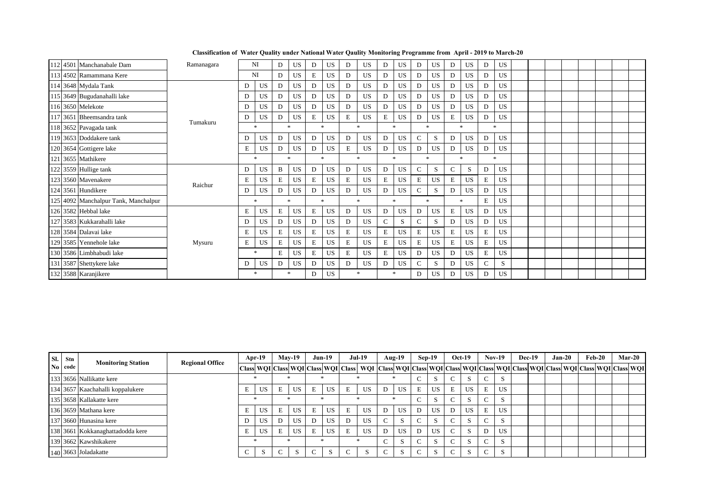|  | 112 4501 Manchanabale Dam            | Ramanagara |   | NI        | D | <b>US</b> | D | <b>US</b> | D | <b>US</b>           | D | <b>US</b>    | D             | <b>US</b>    | D             | US.           | D | <b>US</b> |  |  |  |  |
|--|--------------------------------------|------------|---|-----------|---|-----------|---|-----------|---|---------------------|---|--------------|---------------|--------------|---------------|---------------|---|-----------|--|--|--|--|
|  | 113 4502 Ramammana Kere              |            |   | NI        | D | <b>US</b> | E | <b>US</b> | D | <b>US</b>           | D | US           | D             | <b>US</b>    | D             | US            | D | <b>US</b> |  |  |  |  |
|  | 114 3648 Mydala Tank                 |            | D | <b>US</b> | D | <b>US</b> | D | <b>US</b> | D | <b>US</b>           | D | US           | D             | <b>US</b>    | D             | <b>US</b>     | D | <b>US</b> |  |  |  |  |
|  | 115 3649 Bugudanahalli lake          |            | D | <b>US</b> | D | <b>US</b> | D | <b>US</b> | D | <b>US</b>           | D | US           | D             | <b>US</b>    | D             | US            | D | <b>US</b> |  |  |  |  |
|  | 116 3650 Melekote                    |            | D | <b>US</b> | D | <b>US</b> | D | <b>US</b> | D | <b>US</b>           | D | US           | D             | <b>US</b>    | D             | <b>US</b>     | D | <b>US</b> |  |  |  |  |
|  | 117 3651 Bheemsandra tank            | Tumakuru   | D | <b>US</b> | D | <b>US</b> | Е | <b>US</b> | E | <b>US</b>           | Е | US           | D             | <b>US</b>    | E             | <b>US</b>     | D | <b>US</b> |  |  |  |  |
|  | 118 3652 Pavagada tank               |            |   | $\ast$    |   | $\ast$    |   | $\ast$    |   | $\mathcal{R}$       |   | $\mathbf{r}$ |               | $\mathbf{x}$ |               | $\mathcal{R}$ |   | $\ast$    |  |  |  |  |
|  | 119 3653 Doddakere tank              |            | D | <b>US</b> | D | <b>US</b> | D | <b>US</b> | D | <b>US</b>           | D | <b>US</b>    | $\mathbf C$   | S            | D             | <b>US</b>     | D | <b>US</b> |  |  |  |  |
|  | 120 3654 Gottigere lake              |            | Ε | <b>US</b> | D | <b>US</b> | D | <b>US</b> | E | <b>US</b>           | D | US           | D             | <b>US</b>    | D             | <b>US</b>     | D | <b>US</b> |  |  |  |  |
|  | 121 3655 Mathikere                   |            |   | $\ast$    |   | $\ast$    |   | $\ast$    |   | $\boldsymbol{\ast}$ |   | $\ast$       |               | $\ast$       |               | ÷.            |   | $\ast$    |  |  |  |  |
|  | 122 3559 Hullige tank                |            | D | <b>US</b> | B | <b>US</b> | D | <b>US</b> | D | <b>US</b>           | D | <b>US</b>    | $\mathbf C$   | S            | $\mathcal{C}$ | S.            | D | <b>US</b> |  |  |  |  |
|  | 123 3560 Mavenakere                  | Raichur    | E | <b>US</b> | E | <b>US</b> | E | <b>US</b> | E | <b>US</b>           | E | <b>US</b>    | E             | <b>US</b>    | E             | US            | E | <b>US</b> |  |  |  |  |
|  | 124 3561 Hundikere                   |            | D | <b>US</b> | D | <b>US</b> | D | <b>US</b> | D | <b>US</b>           | D | US           | $\mathbf C$   | S            | D             | US            | D | <b>US</b> |  |  |  |  |
|  | 125 4092 Manchalpur Tank, Manchalpur |            |   | $\ast$    |   | $\ast$    |   | $\ast$    |   | $\ast$              |   | $\ast$       |               | $\mathbf{x}$ |               | $\ast$        | E | <b>US</b> |  |  |  |  |
|  | 126 3582 Hebbal lake                 |            | Е | <b>US</b> | Е | US        | E | <b>US</b> | D | <b>US</b>           | D | US           | D             | <b>US</b>    | E             | <b>US</b>     | D | <b>US</b> |  |  |  |  |
|  | 127 3583 Kukkarahalli lake           |            | D | <b>US</b> | D | <b>US</b> | D | <b>US</b> | D | <b>US</b>           | C | S            | C             | S            | D             | US            | D | <b>US</b> |  |  |  |  |
|  | 128 3584 Dalavai lake                |            | E | <b>US</b> | E | <b>US</b> | Е | <b>US</b> | Ε | <b>US</b>           | E | <b>US</b>    | E             | <b>US</b>    | E             | US.           | E | <b>US</b> |  |  |  |  |
|  | 129 3585 Yennehole lake              | Mysuru     | E | <b>US</b> | Е | <b>US</b> | Е | <b>US</b> | E | <b>US</b>           | Е | US           | E             | <b>US</b>    | E             | US            | Е | <b>US</b> |  |  |  |  |
|  | 130 3586 Limbhabudi lake             |            |   | $\ast$    | E | <b>US</b> | E | <b>US</b> | E | <b>US</b>           | Е | US           | D             | <b>US</b>    | D             | US.           | E | <b>US</b> |  |  |  |  |
|  | 131 3587 Shettykere lake             |            | D | <b>US</b> | D | <b>US</b> | D | <b>US</b> | D | <b>US</b>           | D | US           | $\mathcal{C}$ | S            | D             | US            | C | S         |  |  |  |  |
|  | 132 3588 Karanjikere                 |            |   | $\ast$    |   | $*$       | D | <b>US</b> |   | $\ast$              |   | $\ast$       | D             | <b>US</b>    | D             | US.           | D | <b>US</b> |  |  |  |  |

**Classification of Water Quality under National Water Qaulity Monitoring Programme from April - 2019 to March-20**

| Sl. Stn |                                  |                        | Apr-19    |   | <b>Mav-19</b> |   | $Jun-19$ |   | <b>Jul-19</b>                                                                                                                                               |        | $Aug-19$ | Sep-19 |              |        | $Oct-19$  | $Nov-19$ | Dec-19 | $Jan-20$ | $Feb-20$ |  | Mar-20 |
|---------|----------------------------------|------------------------|-----------|---|---------------|---|----------|---|-------------------------------------------------------------------------------------------------------------------------------------------------------------|--------|----------|--------|--------------|--------|-----------|----------|--------|----------|----------|--|--------|
| No code | <b>Monitoring Station</b>        | <b>Regional Office</b> |           |   |               |   |          |   | Class WQI Class WQI Class WQI Class WQI Class WQI Class WQI Class WQI Class WQI Class WQI Class WQI Class WQI Class WQI Class WQI Class WQI Class WQI Class |        |          |        |              |        |           |          |        |          |          |  |        |
|         | 133 3656 Nallikatte kere         |                        |           |   |               |   |          |   |                                                                                                                                                             |        |          | $\sim$ |              |        | - N       |          |        |          |          |  |        |
|         | 134 3657 Kaachahalli koppalukere |                        | US.       | E | US            | E | US       |   | US.                                                                                                                                                         | D      | US       | E      | US.          |        | US        | US.      |        |          |          |  |        |
|         | 135 3658 Kallakatte kere         |                        |           |   |               |   |          |   |                                                                                                                                                             |        |          | $\sim$ |              | $\sim$ | - N       |          |        |          |          |  |        |
|         | 136 3659 Mathana kere            |                        | <b>US</b> |   | <b>US</b>     | E | US       |   | US.                                                                                                                                                         | D      | US       | D      | <b>US</b>    | D      | <b>US</b> | US.      |        |          |          |  |        |
|         | 137 3660 Hunasina kere           |                        | US.       |   | <b>US</b>     | D | US       | D | US.                                                                                                                                                         | $\sim$ | Ъ.       | $\sim$ | $\mathbf{D}$ | $\sim$ | - N       |          |        |          |          |  |        |
|         | 138 3661 Kokkanaghattadodda kere |                        | US.       | E | <b>US</b>     | E | US       |   | <b>US</b>                                                                                                                                                   | D      | US       | D      | US.          | $\sim$ |           | US.      |        |          |          |  |        |
|         | 139 3662 Kawshikakere            |                        |           |   |               |   |          |   |                                                                                                                                                             | $\sim$ |          | $\sim$ |              | $\sim$ | - N       |          |        |          |          |  |        |
|         | $140$ 3663 Joladakatte           |                        | S.        |   |               |   |          |   |                                                                                                                                                             | $\sim$ |          | $\sim$ |              | $\sim$ |           |          |        |          |          |  |        |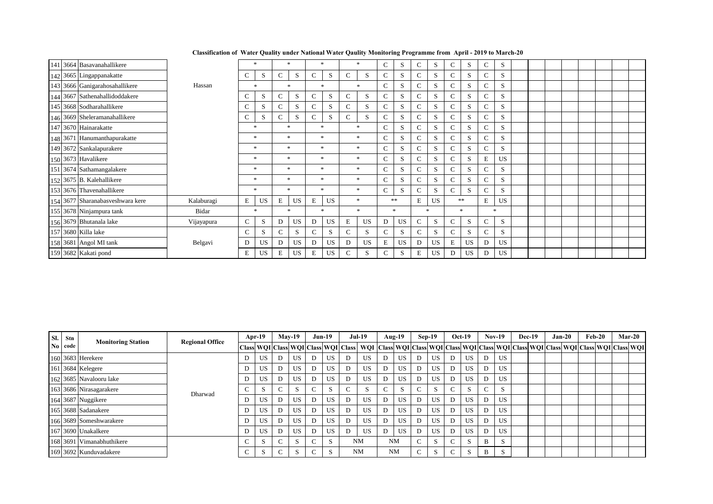| 141 3664 Basavanahallikere       |            |               | *         |               | $\ast$       |               | $\ast$    |               |              | C            | S    | C             | S         | C             | S  | C             | S         |  |  |  |  |
|----------------------------------|------------|---------------|-----------|---------------|--------------|---------------|-----------|---------------|--------------|--------------|------|---------------|-----------|---------------|----|---------------|-----------|--|--|--|--|
| 142 3665 Lingappanakatte         |            | C             | S         | $\mathbf C$   | S            | C             | S         | C             | S            | $\mathbf{C}$ | S    | $\mathcal{C}$ | S         | $\mathbf C$   | S  | C             | S         |  |  |  |  |
| 143 3666 Ganigarahosahallikere   | Hassan     |               | $\ast$    |               | $\ast$       |               | $\ast$    |               |              | C            | S    | $\mathcal{C}$ | S         | C             | S. | C             | S         |  |  |  |  |
| 144 3667 Sathenahallidoddakere   |            | $\mathbf C$   | S         | $\mathbf C$   | S            | С             | S         | $\mathcal{C}$ | S            | C            | S    | $\mathcal{C}$ | S         | $\mathcal{C}$ | S. | C             | S         |  |  |  |  |
| 145 3668 Sodharahallikere        |            | C             | S         | $\mathbf C$   | S            | С             | S         | $\mathcal{C}$ | S.           | C            | S    | $\mathcal{C}$ | S         | $\mathcal{C}$ | S  | C             | S         |  |  |  |  |
| 146 3669 Sheleramanahallikere    |            | C             | S         | $\mathcal{C}$ | <sub>S</sub> | C             | S         | $\mathbf{C}$  | S            | $\mathbf{C}$ | S    | C             | S         | C             | S  | $\mathcal{C}$ | S         |  |  |  |  |
| 147 3670 Hainarakatte            |            |               | $\ast$    |               | $\ast$       |               | sk.       |               |              | $\mathsf{C}$ | S    | $\mathcal{C}$ | S         | C             | S  | $\mathcal{C}$ | S.        |  |  |  |  |
| 148 3671 Hanumanthapurakatte     |            |               | $\ast$    |               | $\ast$       |               | $\ast$    |               | $\mathbf{x}$ | C            | S    | $\mathcal{C}$ | S         | $\mathcal{C}$ | S. | $\mathbf C$   | S         |  |  |  |  |
| 149 3672 Sankalapurakere         |            |               | *         |               | $\ast$       | $\ast$        |           |               | $\ast$       | C            | S    | $\mathbf C$   | S         | $\mathcal{C}$ | S  | C             | S         |  |  |  |  |
| 150 3673 Havalikere              |            |               | $\ast$    |               | $\ast$       | $\ast$        |           |               | $\mathbf{x}$ | $\mathbf C$  | S    | C             | S         | C             | S  | E             | US        |  |  |  |  |
| 151 3674 Sathamangalakere        |            |               | $\ast$    |               | $\ast$       | $\cdot$       |           |               | $\mathbf{x}$ | $\mathbf C$  | S    | $\mathcal{C}$ | S         | C             | S  | C             | S         |  |  |  |  |
| 152 3675 B. Kalehallikere        |            |               | $\ast$    |               | $\ast$       |               | $\ast$    |               | $\ast$       | $\mathbf C$  | S    | $\mathcal{C}$ | S         | C             | S  | Ċ             | S         |  |  |  |  |
| 153 3676 Thavenahallikere        |            |               | *         |               | *            |               | $\ast$    |               | $\ast$       | C            | S    | $\mathcal{C}$ | S         | Ċ.            | S  | C             | S         |  |  |  |  |
| 154 3677 Sharanabasveshwara kere | Kalaburagi | E             | <b>US</b> | $\mathbf E$   | <b>US</b>    | E             | <b>US</b> |               | $\ast$       |              | $**$ | E             | <b>US</b> |               | ** | Е             | <b>US</b> |  |  |  |  |
| 155 3678 Ninjampura tank         | Bidar      |               | $\ast$    |               | $\ast$       |               | $\ast$    |               | $\ast$       | $\ast$       |      |               | $\ast$    | 女             |    |               | $\ast$    |  |  |  |  |
| 156 3679 Bhutanala lake          | Vijayapura | $\mathcal{C}$ | S         | D             | <b>US</b>    | D             | <b>US</b> | E             | <b>US</b>    | D            | US   | $\mathcal{C}$ | S         | Ċ.            | S. | C             | S         |  |  |  |  |
| 157 3680 Killa lake              |            | $\mathbf C$   | S         | $\mathcal{C}$ | S            | $\mathcal{C}$ | S         |               | S            | $\mathsf{C}$ | S    | C             | S         | C             | S  | C             | S         |  |  |  |  |
| 158 3681 Angol MI tank           | Belgavi    | D             | US        | D             | <b>US</b>    | D             | <b>US</b> | D             | <b>US</b>    | E            | US   | D             | <b>US</b> | E             | US | D             | US        |  |  |  |  |
| 159 3682 Kakati pond             |            | Е             | <b>US</b> | E             | <b>US</b>    | Е             | <b>US</b> | C             | S            | C            | S    | E             | <b>US</b> | D             | US | D             | US        |  |  |  |  |

| SI. | Stn     |                           |                        | $Apr-19$  |   | <b>May-19</b> | $Jun-19$ |    |   | <b>Jul-19</b>                                                                                                                                                                                                                 |        | Aug- $19$ | $Sep-19$ |               |        | $Oct-19$ | $Nov-19$ |           | $Dec-19$ | $Jan-20$ |  | $Feb-20$ | <b>Mar-20</b> |
|-----|---------|---------------------------|------------------------|-----------|---|---------------|----------|----|---|-------------------------------------------------------------------------------------------------------------------------------------------------------------------------------------------------------------------------------|--------|-----------|----------|---------------|--------|----------|----------|-----------|----------|----------|--|----------|---------------|
|     | No code | <b>Monitoring Station</b> | <b>Regional Office</b> |           |   |               |          |    |   | Class  WOI  Class  WOI  Class  WOI  Class  WOI  Class  WOI  Class  WOI  Class  WOI  Class  Clic  Class  WOI  Class  WOI  Class  WOI  Class  WOI  Class  WOI  Class  WOI  Class  WOI  Class  WOI  Class  WOI  Class  WOI  Clas |        |           |          |               |        |          |          |           |          |          |  |          |               |
|     |         | 160 3683 Herekere         |                        | <b>US</b> |   | <b>US</b>     | D        | US | D | US.                                                                                                                                                                                                                           | D      | US        |          | US            |        | US       |          | US.       |          |          |  |          |               |
|     |         | 161 3684 Kelegere         |                        | US.       | D | <b>US</b>     | D        | US | D | US                                                                                                                                                                                                                            | D      | US        | D        | US            |        | US.      | D        | US.       |          |          |  |          |               |
|     |         | 162 3685 Navalooru lake   |                        | US.       | D | <b>US</b>     | D        | US | D | US                                                                                                                                                                                                                            | D      | US        | D        | US            | D      | US.      |          | US        |          |          |  |          |               |
|     |         | 163 3686 Nirasagarakere   | Dharwad                |           |   | $\sim$        |          | ъ. |   |                                                                                                                                                                                                                               | $\sim$ | S         | $\sim$   | $\mathcal{L}$ |        |          |          | S.        |          |          |  |          |               |
|     |         | 164 3687 Nuggikere        |                        | US.       | D | <b>US</b>     | D        | US | D | US                                                                                                                                                                                                                            | D      | US        | D        | US            | D      | US       | D        | US.       |          |          |  |          |               |
|     |         | 165 3688 Sadanakere       |                        | <b>US</b> | D | US            | D        | US | D | US                                                                                                                                                                                                                            | D      | US        | D        | US            | D      | US       | D        | <b>US</b> |          |          |  |          |               |
|     |         | 166 3689 Someshwarakere   |                        | US        | D | <b>US</b>     | D        | US | D | US                                                                                                                                                                                                                            | D      | US        |          | US            | D      | US       |          | US        |          |          |  |          |               |
|     |         | 167 3690 Unakalkere       |                        | US.       | D | <b>US</b>     | D        | US | D | US                                                                                                                                                                                                                            | D      | US        | D        | US            | D      | US       | D        | US        |          |          |  |          |               |
|     |         | 168 3691 Vimanabhuthikere |                        |           |   | S.            | $\sim$   |    |   | <b>NM</b>                                                                                                                                                                                                                     |        | <b>NM</b> | $\sim$   |               | $\sim$ |          | B.       |           |          |          |  |          |               |
|     |         | 169 3692 Kunduvadakere    |                        | S         |   |               | $\sim$   |    |   | <b>NM</b>                                                                                                                                                                                                                     |        | NM        | $\sim$   |               | $\sim$ |          | B        |           |          |          |  |          |               |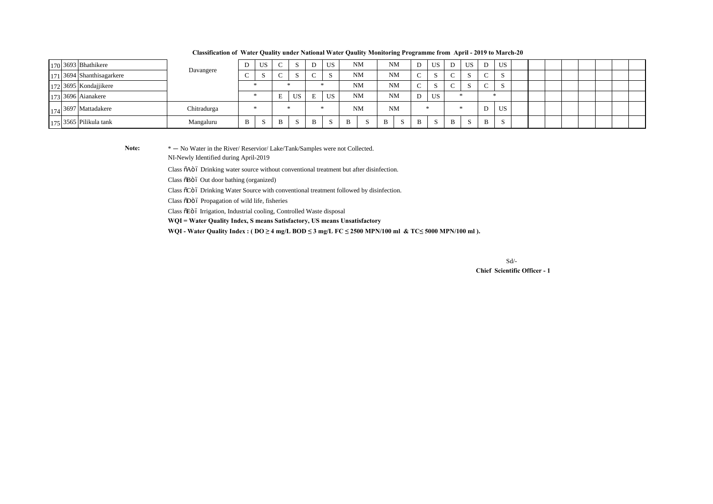| 170 3693 Bhathikere       | Davangere   |   | US.          | $\sim$                   | -5 | D | <b>US</b> |           | <b>NM</b> |   | <b>NM</b> | D           | US |  | <b>US</b>    |              | US |  |  |  |  |
|---------------------------|-------------|---|--------------|--------------------------|----|---|-----------|-----------|-----------|---|-----------|-------------|----|--|--------------|--------------|----|--|--|--|--|
| 171 3694 Shanthisagarkere |             |   |              | ∽                        |    |   |           |           | <b>NM</b> |   | <b>NM</b> | $\sim$<br>◡ |    |  | $\sim$       |              |    |  |  |  |  |
| 172 3695 Kondajjikere     |             |   |              |                          |    |   |           | <b>NM</b> |           |   | <b>NM</b> | $\sim$      |    |  | $\sim$       |              |    |  |  |  |  |
| 173 3696 Aianakere        |             |   |              | $\blacksquare$<br>н<br>∸ | US |   | <b>US</b> |           | <b>NM</b> |   | <b>NM</b> | US<br>D     |    |  |              |              |    |  |  |  |  |
| 174 3697 Mattadakere      | Chitradurga |   | ×            |                          | ÷  |   | <b>NM</b> |           | <b>NM</b> |   |           |             |    |  |              | US.          |    |  |  |  |  |
| $175$ 3565 Pilikula tank  | Mangaluru   | B | <sub>S</sub> | B                        | S  |   | -S        | B         |           | B | -S        | B           |    |  | <sup>S</sup> | $\mathbf{B}$ |    |  |  |  |  |

**Classification of Water Quality under National Water Qaulity Monitoring Programme from April - 2019 to March-20**

Note:  $* - N_0$  Water in the River/ Reservior/ Lake/Tank/Samples were not Collected. NI-Newly Identified during April-2019

Class  $\delta A \ddot{o}$  6 Drinking water source without conventional treatment but after disinfection.

Class õBö ó Out door bathing (organized)

Class  $\tilde{o}$ Cö ó Drinking Water Source with conventional treatment followed by disinfection.

Class  $\delta$ Dö ó Propagation of wild life, fisheries

Class õEö ó Irrigation, Industrial cooling, Controlled Waste disposal

**WQI = Water Quality Index, S means Satisfactory, US means Unsatisfactory**

**WQI - Water Quality Index : ( DO ≥ 4 mg/L BOD ≤ 3 mg/L FC ≤ 2500 MPN/100 ml & TC≤ 5000 MPN/100 ml ).**

 **Chief Scientific Officer - 1** Sd/-